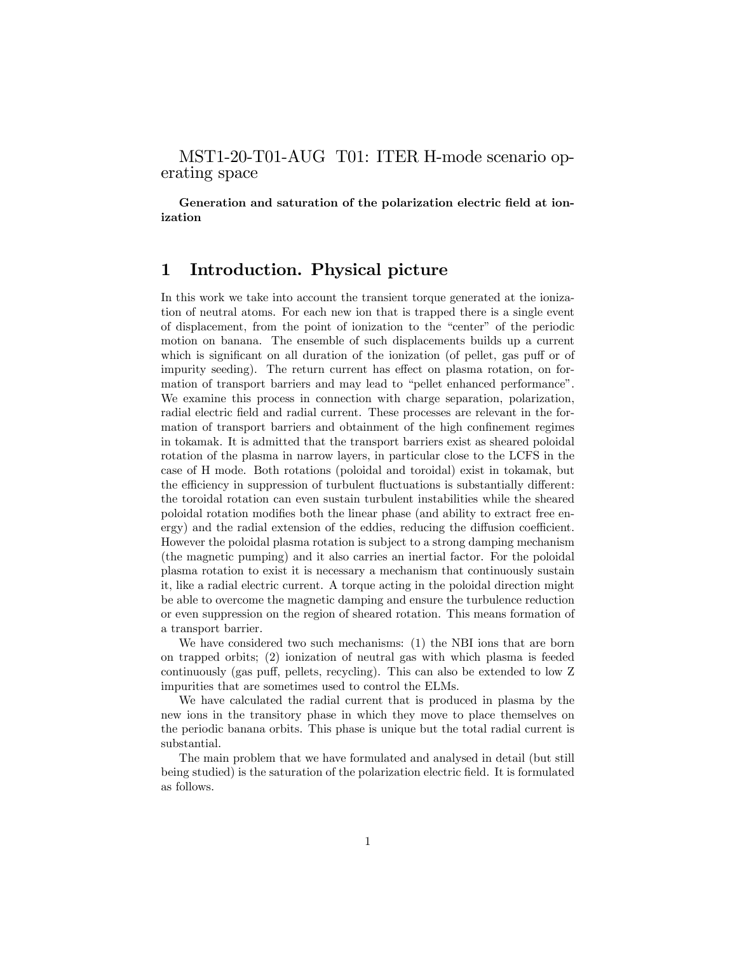### MST1-20-T01-AUG T01: ITER H-mode scenario operating space

Generation and saturation of the polarization electric field at ionization

### 1 Introduction. Physical picture

In this work we take into account the transient torque generated at the ionization of neutral atoms. For each new ion that is trapped there is a single event of displacement, from the point of ionization to the "center" of the periodic motion on banana. The ensemble of such displacements builds up a current which is significant on all duration of the ionization (of pellet, gas puff or of impurity seeding). The return current has effect on plasma rotation, on formation of transport barriers and may lead to "pellet enhanced performance". We examine this process in connection with charge separation, polarization, radial electric field and radial current. These processes are relevant in the formation of transport barriers and obtainment of the high confinement regimes in tokamak. It is admitted that the transport barriers exist as sheared poloidal rotation of the plasma in narrow layers, in particular close to the LCFS in the case of H mode. Both rotations (poloidal and toroidal) exist in tokamak, but the efficiency in suppression of turbulent fluctuations is substantially different: the toroidal rotation can even sustain turbulent instabilities while the sheared poloidal rotation modiÖes both the linear phase (and ability to extract free en- $\langle$  ergy) and the radial extension of the eddies, reducing the diffusion coefficient. However the poloidal plasma rotation is subject to a strong damping mechanism (the magnetic pumping) and it also carries an inertial factor. For the poloidal plasma rotation to exist it is necessary a mechanism that continuously sustain it, like a radial electric current. A torque acting in the poloidal direction might be able to overcome the magnetic damping and ensure the turbulence reduction or even suppression on the region of sheared rotation. This means formation of a transport barrier.

We have considered two such mechanisms: (1) the NBI ions that are born on trapped orbits; (2) ionization of neutral gas with which plasma is feeded continuously (gas puff, pellets, recycling). This can also be extended to low Z impurities that are sometimes used to control the ELMs.

We have calculated the radial current that is produced in plasma by the new ions in the transitory phase in which they move to place themselves on the periodic banana orbits. This phase is unique but the total radial current is substantial.

The main problem that we have formulated and analysed in detail (but still being studied) is the saturation of the polarization electric field. It is formulated as follows.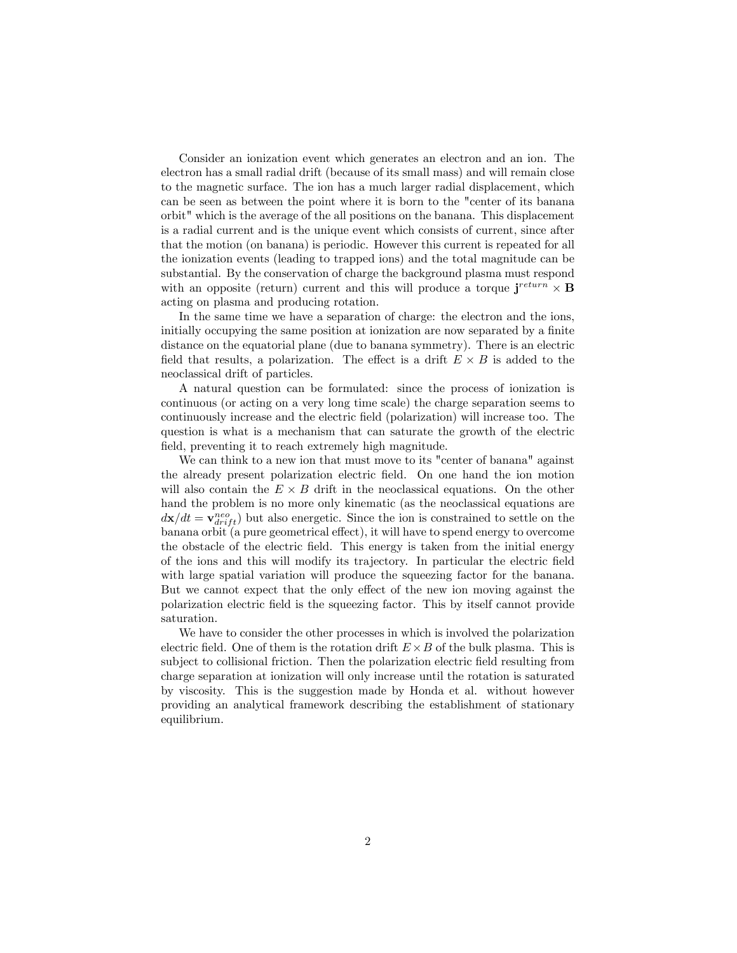Consider an ionization event which generates an electron and an ion. The electron has a small radial drift (because of its small mass) and will remain close to the magnetic surface. The ion has a much larger radial displacement, which can be seen as between the point where it is born to the "center of its banana orbit" which is the average of the all positions on the banana. This displacement is a radial current and is the unique event which consists of current, since after that the motion (on banana) is periodic. However this current is repeated for all the ionization events (leading to trapped ions) and the total magnitude can be substantial. By the conservation of charge the background plasma must respond with an opposite (return) current and this will produce a torque  $\mathbf{j}^{return} \times \mathbf{B}$ acting on plasma and producing rotation.

In the same time we have a separation of charge: the electron and the ions, initially occupying the same position at ionization are now separated by a finite distance on the equatorial plane (due to banana symmetry). There is an electric field that results, a polarization. The effect is a drift  $E \times B$  is added to the neoclassical drift of particles.

A natural question can be formulated: since the process of ionization is continuous (or acting on a very long time scale) the charge separation seems to continuously increase and the electric field (polarization) will increase too. The question is what is a mechanism that can saturate the growth of the electric field, preventing it to reach extremely high magnitude.

We can think to a new ion that must move to its "center of banana" against the already present polarization electric Öeld. On one hand the ion motion will also contain the  $E \times B$  drift in the neoclassical equations. On the other hand the problem is no more only kinematic (as the neoclassical equations are  $d\mathbf{x}/dt = \mathbf{v}_{drift}^{neo}$  but also energetic. Since the ion is constrained to settle on the banana orbit (a pure geometrical effect), it will have to spend energy to overcome the obstacle of the electric Öeld. This energy is taken from the initial energy of the ions and this will modify its trajectory. In particular the electric field with large spatial variation will produce the squeezing factor for the banana. But we cannot expect that the only effect of the new ion moving against the polarization electric Öeld is the squeezing factor. This by itself cannot provide saturation.

We have to consider the other processes in which is involved the polarization electric field. One of them is the rotation drift  $E \times B$  of the bulk plasma. This is subject to collisional friction. Then the polarization electric field resulting from charge separation at ionization will only increase until the rotation is saturated by viscosity. This is the suggestion made by Honda et al. without however providing an analytical framework describing the establishment of stationary equilibrium.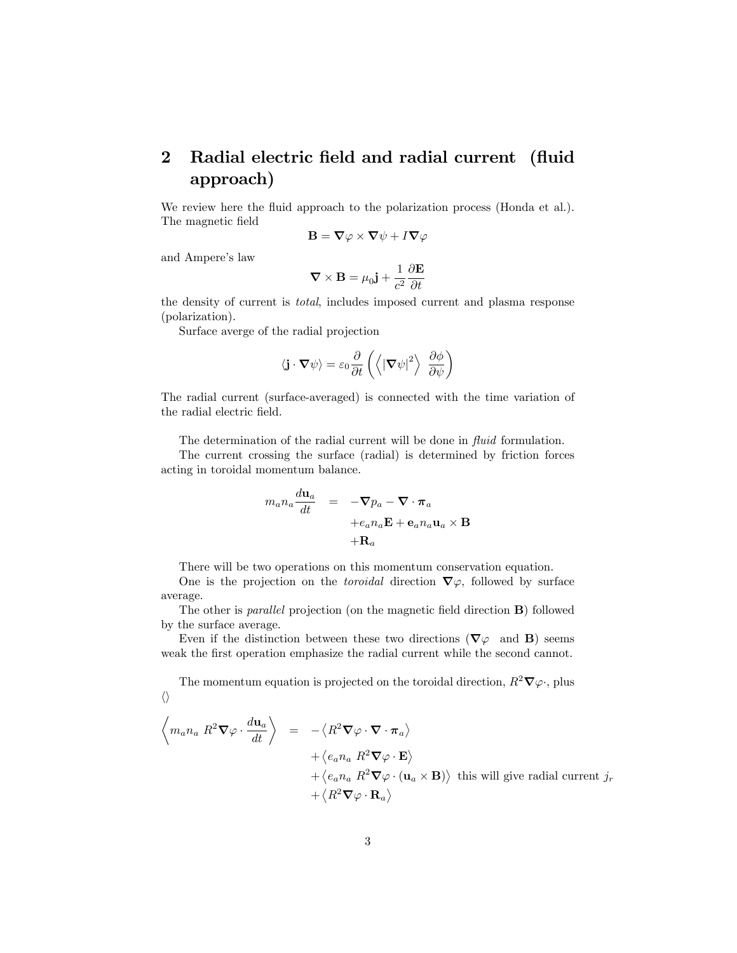## 2 Radial electric field and radial current (fluid approach)

We review here the fluid approach to the polarization process (Honda et al.). The magnetic field

$$
\mathbf{B} = \mathbf{\nabla} \varphi \times \mathbf{\nabla} \psi + I \mathbf{\nabla} \varphi
$$

and Ampere's law

$$
\nabla \times \mathbf{B} = \mu_0 \mathbf{j} + \frac{1}{c^2} \frac{\partial \mathbf{E}}{\partial t}
$$

the density of current is total, includes imposed current and plasma response (polarization).

Surface averge of the radial projection

$$
\langle \mathbf{j} \cdot \mathbf{\nabla} \psi \rangle = \varepsilon_0 \frac{\partial}{\partial t} \left( \left\langle |\mathbf{\nabla} \psi|^2 \right\rangle \frac{\partial \phi}{\partial \psi} \right)
$$

The radial current (surface-averaged) is connected with the time variation of the radial electric field.

The determination of the radial current will be done in  $fluid$  formulation.

The current crossing the surface (radial) is determined by friction forces acting in toroidal momentum balance.

$$
m_a n_a \frac{d\mathbf{u}_a}{dt} = -\nabla p_a - \nabla \cdot \pi_a
$$
  
+ $e_a n_a \mathbf{E} + \mathbf{e}_a n_a \mathbf{u}_a \times \mathbf{B}$   
+ $\mathbf{R}_a$ 

There will be two operations on this momentum conservation equation.

One is the projection on the *toroidal* direction  $\nabla \varphi$ , followed by surface average.

The other is *parallel* projection (on the magnetic field direction **B**) followed by the surface average.

Even if the distinction between these two directions ( $\nabla\varphi$  and **B**) seems weak the first operation emphasize the radial current while the second cannot.

The momentum equation is projected on the toroidal direction,  $R^2\nabla\varphi$ , plus  $\langle \rangle$ 

$$
\left\langle m_a n_a R^2 \nabla \varphi \cdot \frac{d \mathbf{u}_a}{dt} \right\rangle = - \left\langle R^2 \nabla \varphi \cdot \nabla \cdot \pi_a \right\rangle \n+ \left\langle e_a n_a R^2 \nabla \varphi \cdot \mathbf{E} \right\rangle \n+ \left\langle e_a n_a R^2 \nabla \varphi \cdot (\mathbf{u}_a \times \mathbf{B}) \right\rangle \text{ this will give radial current } j_r \n+ \left\langle R^2 \nabla \varphi \cdot \mathbf{R}_a \right\rangle
$$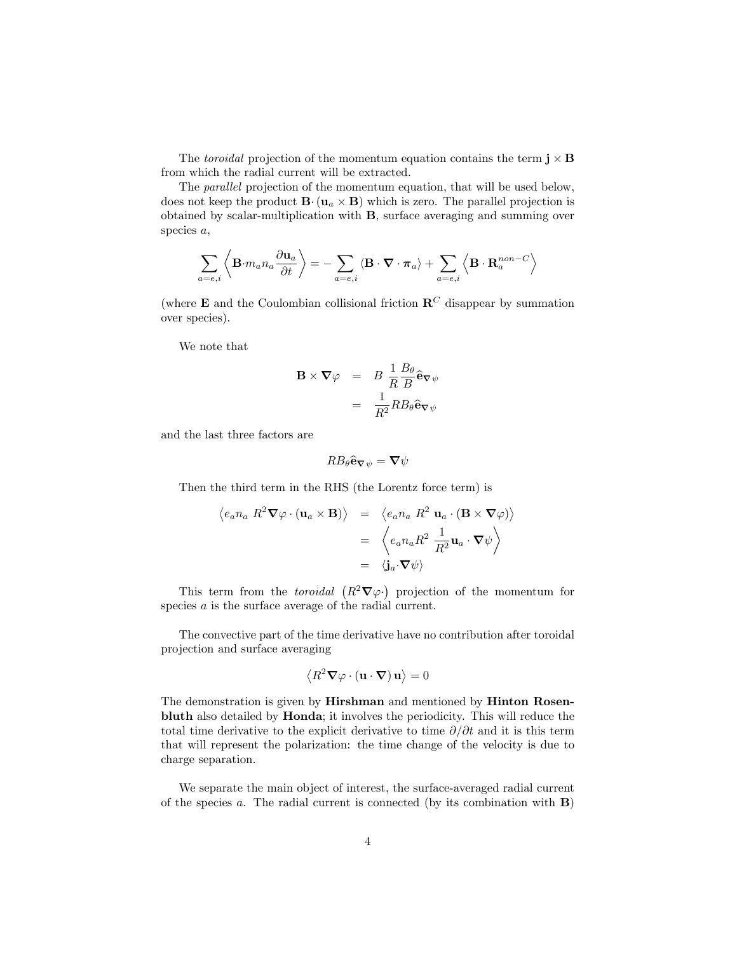The toroidal projection of the momentum equation contains the term  $\mathbf{j} \times \mathbf{B}$ from which the radial current will be extracted.

The parallel projection of the momentum equation, that will be used below, does not keep the product  $\mathbf{B} \cdot (\mathbf{u}_a \times \mathbf{B})$  which is zero. The parallel projection is obtained by scalar-multiplication with B, surface averaging and summing over species a,

$$
\sum_{a=e,i}\left\langle \mathbf{B}\!\cdot\! m_an_a\frac{\partial \mathbf{u}_a}{\partial t} \right\rangle=-\sum_{a=e,i}\left\langle \mathbf{B}\cdot\boldsymbol{\nabla}\cdot\boldsymbol{\pi}_a\right\rangle+\sum_{a=e,i}\left\langle \mathbf{B}\cdot\mathbf{R}^{non-C}_a\right\rangle
$$

(where **E** and the Coulombian collisional friction  $\mathbb{R}^C$  disappear by summation over species).

We note that

$$
\mathbf{B} \times \nabla \varphi = B \frac{1}{R} \frac{B_{\theta}}{B} \hat{\mathbf{e}} \nabla \psi
$$

$$
= \frac{1}{R^2} R B_{\theta} \hat{\mathbf{e}} \nabla \psi
$$

and the last three factors are

$$
RB_{\theta}\widehat{\mathbf{e}}_{\nabla\psi}=\mathbf{\nabla}\psi
$$

Then the third term in the RHS (the Lorentz force term) is

$$
\langle e_a n_a R^2 \nabla \varphi \cdot (\mathbf{u}_a \times \mathbf{B}) \rangle = \langle e_a n_a R^2 \mathbf{u}_a \cdot (\mathbf{B} \times \nabla \varphi) \rangle
$$
  

$$
= \langle e_a n_a R^2 \frac{1}{R^2} \mathbf{u}_a \cdot \nabla \psi \rangle
$$
  

$$
= \langle \mathbf{j}_a \cdot \nabla \psi \rangle
$$

This term from the *toroidal*  $(R^2\nabla\varphi)$  projection of the momentum for species a is the surface average of the radial current.

The convective part of the time derivative have no contribution after toroidal projection and surface averaging

$$
\left\langle R^2 \boldsymbol{\nabla} \varphi \cdot (\mathbf{u} \cdot \boldsymbol{\nabla}) \, \mathbf{u} \right\rangle = 0
$$

The demonstration is given by Hirshman and mentioned by Hinton Rosenbluth also detailed by Honda; it involves the periodicity. This will reduce the total time derivative to the explicit derivative to time  $\partial/\partial t$  and it is this term that will represent the polarization: the time change of the velocity is due to charge separation.

We separate the main object of interest, the surface-averaged radial current of the species a. The radial current is connected (by its combination with  $\bf{B}$ )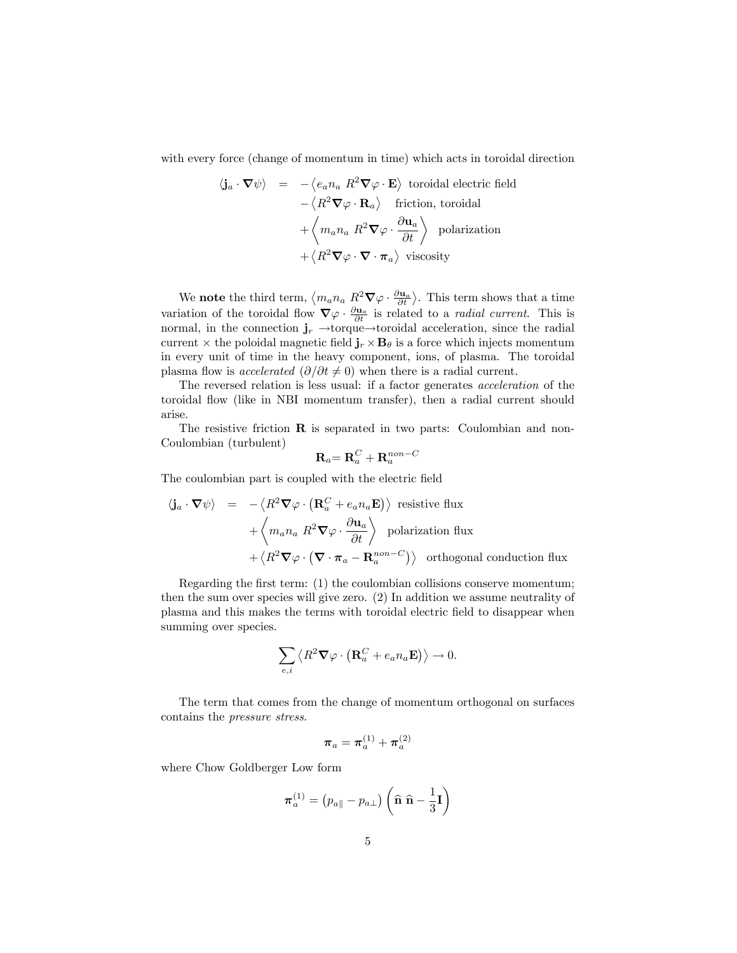with every force (change of momentum in time) which acts in toroidal direction

$$
\langle \mathbf{j}_a \cdot \nabla \psi \rangle = - \langle e_a n_a R^2 \nabla \varphi \cdot \mathbf{E} \rangle \text{ toroidal electric field}
$$

$$
- \langle R^2 \nabla \varphi \cdot \mathbf{R}_a \rangle \text{ friction, toroidal}
$$

$$
+ \langle m_a n_a R^2 \nabla \varphi \cdot \frac{\partial \mathbf{u}_a}{\partial t} \rangle \text{ polarization}
$$

$$
+ \langle R^2 \nabla \varphi \cdot \nabla \cdot \pi_a \rangle \text{ viscosity}
$$

We **note** the third term,  $\langle m_a n_a \ R^2 \nabla \varphi \cdot \frac{\partial \mathbf{u}_a}{\partial t} \rangle$ . This term shows that a time variation of the toroidal flow  $\nabla \varphi \cdot \frac{\partial u_a}{\partial t}$  is related to a *radial current*. This is normal, in the connection  $\mathbf{j}_r \rightarrow$ torque $\rightarrow$ toroidal acceleration, since the radial current  $\times$  the poloidal magnetic field  $\mathbf{j}_r \times \mathbf{B}_\theta$  is a force which injects momentum in every unit of time in the heavy component, ions, of plasma. The toroidal plasma flow is *accelerated*  $(\partial/\partial t \neq 0)$  when there is a radial current.

The reversed relation is less usual: if a factor generates acceleration of the toroidal áow (like in NBI momentum transfer), then a radial current should arise.

The resistive friction **R** is separated in two parts: Coulombian and non-Coulombian (turbulent)

$$
\mathbf{R}_a\mathbf{=}\,\mathbf{R}^C_a+\mathbf{R}^{non-C}_a
$$

The coulombian part is coupled with the electric field

$$
\langle \mathbf{j}_a \cdot \nabla \psi \rangle = - \langle R^2 \nabla \varphi \cdot (\mathbf{R}_a^C + e_a n_a \mathbf{E}) \rangle \text{ resistive flux}
$$
  
+  $\langle m_a n_a R^2 \nabla \varphi \cdot \frac{\partial \mathbf{u}_a}{\partial t} \rangle$  polarization flux  
+  $\langle R^2 \nabla \varphi \cdot (\nabla \cdot \pi_a - \mathbf{R}_a^{non-C}) \rangle$  orthogonal conduction flux

Regarding the first term:  $(1)$  the coulombian collisions conserve momentum; then the sum over species will give zero. (2) In addition we assume neutrality of plasma and this makes the terms with toroidal electric Öeld to disappear when summing over species.

$$
\sum_{e,i}\left\langle R^2{\bf \nabla}\varphi\cdot\left({\bf R}_a^C+e_an_a{\bf E}\right)\right\rangle\rightarrow 0.
$$

The term that comes from the change of momentum orthogonal on surfaces contains the pressure stress.

$$
\boldsymbol{\pi}_a = \boldsymbol{\pi}_a^{(1)} + \boldsymbol{\pi}_a^{(2)}
$$

where Chow Goldberger Low form

$$
\boldsymbol{\pi}_a^{(1)} = \left(p_{a\parallel} - p_{a\perp}\right) \left(\widehat{\mathbf{n}} \; \widehat{\mathbf{n}} - \frac{1}{3} \mathbf{I}\right)
$$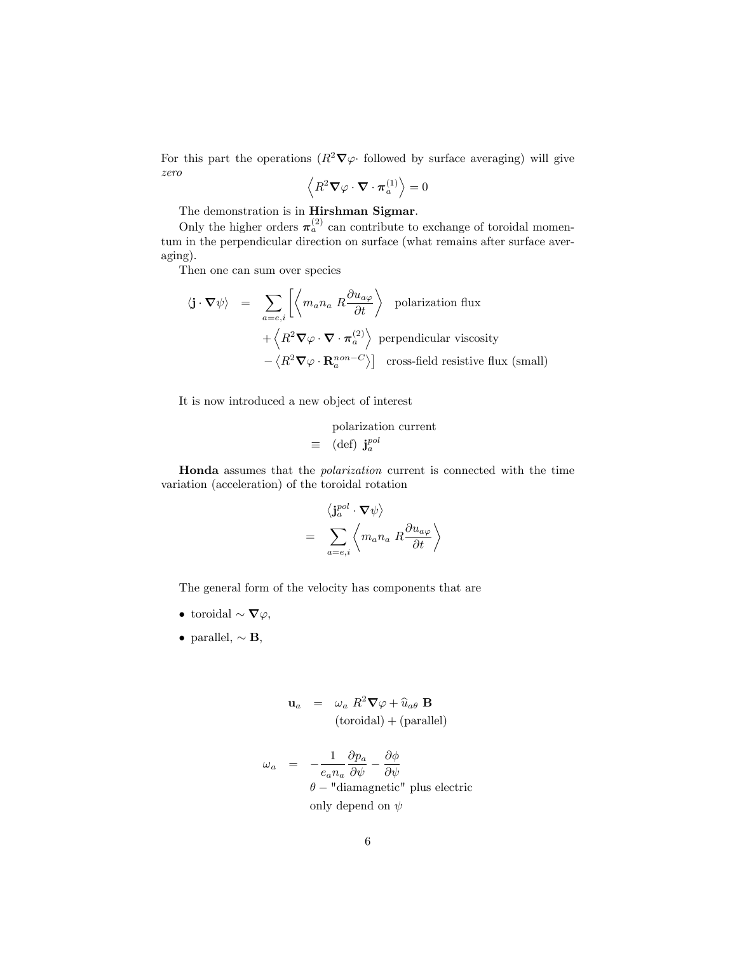For this part the operations  $(R^2\nabla\varphi)$  followed by surface averaging) will give zero

$$
\left\langle R^2 \boldsymbol{\nabla} \varphi \cdot \boldsymbol{\nabla} \cdot \boldsymbol{\pi}_a^{(1)} \right\rangle = 0
$$

The demonstration is in Hirshman Sigmar.

Only the higher orders  $\pi_a^{(2)}$  can contribute to exchange of toroidal momentum in the perpendicular direction on surface (what remains after surface averaging).

Then one can sum over species

$$
\langle \mathbf{j} \cdot \nabla \psi \rangle = \sum_{a=e,i} \left[ \left\langle m_a n_a R \frac{\partial u_{a\varphi}}{\partial t} \right\rangle \text{ polarization flux} + \left\langle R^2 \nabla \varphi \cdot \nabla \cdot \pi_a^{(2)} \right\rangle \text{ perpendicular viscosity} - \left\langle R^2 \nabla \varphi \cdot \mathbf{R}_a^{non-C} \right\rangle \right] \text{ cross-field resistive flux (small)}
$$

It is now introduced a new object of interest

polarization current  
\n
$$
\equiv
$$
 (def)  $\mathbf{j}_a^{pol}$ 

Honda assumes that the polarization current is connected with the time variation (acceleration) of the toroidal rotation

$$
\begin{array}{rcl}\n\left\langle \mathbf{j}_{a}^{pol}\cdot\nabla\psi\right\rangle \\
= &\sum_{a=e,i}\left\langle m_{a}n_{a}\;R\frac{\partial u_{a\varphi}}{\partial t}\right\rangle\n\end{array}
$$

The general form of the velocity has components that are

- toroidal  $\sim \nabla \varphi$ ,
- parallel,  $\sim$  **B**,

$$
\mathbf{u}_a = \omega_a R^2 \nabla \varphi + \widehat{u}_{a\theta} \mathbf{B}
$$
  
(toroidal) + (parallel)

$$
\omega_a = -\frac{1}{e_a n_a} \frac{\partial p_a}{\partial \psi} - \frac{\partial \phi}{\partial \psi}
$$
  

$$
\theta - \text{"diamond" peri" plus electric only depend on } \psi
$$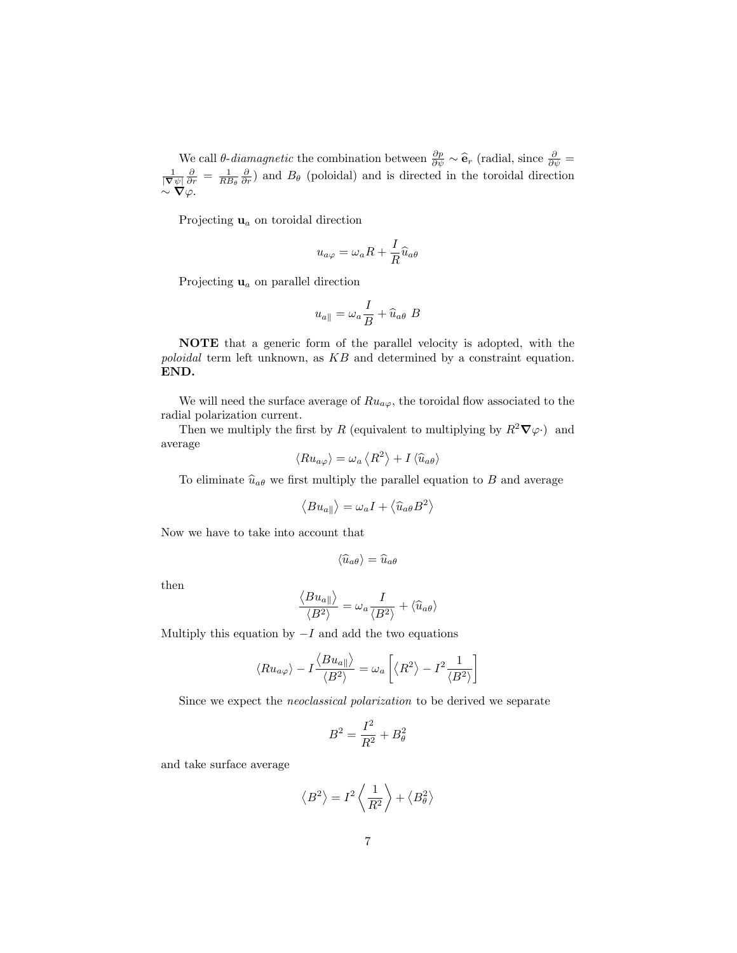We call  $\theta$ -diamagnetic the combination between  $\frac{\partial p}{\partial \psi} \sim \hat{\mathbf{e}}_r$  (radial, since  $\frac{\partial}{\partial \psi} = \frac{1}{|\nabla \psi|} \frac{\partial}{\partial r} = \frac{1}{RB_\theta} \frac{\partial}{\partial r}$ ) and  $B_\theta$  (poloidal) and is directed in the toroidal direction  $\sim \nabla \varphi$ .

Projecting  $\mathbf{u}_a$  on toroidal direction

$$
u_{a\varphi} = \omega_a R + \frac{I}{R} \widehat{u}_{a\theta}
$$

Projecting  $\mathbf{u}_a$  on parallel direction

$$
u_{a\parallel} = \omega_a \frac{I}{B} + \widehat{u}_{a\theta} B
$$

NOTE that a generic form of the parallel velocity is adopted, with the poloidal term left unknown, as KB and determined by a constraint equation. END.

We will need the surface average of  $Ru_{a\varphi}$ , the toroidal flow associated to the radial polarization current.

Then we multiply the first by R (equivalent to multiplying by  $R^2\nabla\varphi$ ) and average

$$
\langle Ru_{a\varphi}\rangle = \omega_a \langle R^2 \rangle + I \langle \widehat{u}_{a\theta} \rangle
$$

To eliminate  $\hat{u}_{a\theta}$  we first multiply the parallel equation to B and average

$$
\left\langle Bu_{a\parallel}\right\rangle =\omega _{a}I+\left\langle \widehat{u}_{a\theta }B^{2}\right\rangle
$$

Now we have to take into account that

$$
\langle \widehat{u}_{a\theta} \rangle = \widehat{u}_{a\theta}
$$

then

$$
\frac{\langle Bu_{a\parallel}\rangle}{\langle B^2\rangle} = \omega_a \frac{I}{\langle B^2\rangle} + \langle \hat{u}_{a\theta}\rangle
$$

Multiply this equation by  $-I$  and add the two equations

$$
\left\langle R u_{a\varphi} \right\rangle - I \frac{\left\langle B u_{a\parallel} \right\rangle}{\left\langle B^2 \right\rangle} = \omega_a \left[ \left\langle R^2 \right\rangle - I^2 \frac{1}{\left\langle B^2 \right\rangle} \right]
$$

Since we expect the neoclassical polarization to be derived we separate

$$
B^2=\frac{I^2}{R^2}+B_\theta^2
$$

and take surface average

$$
\left\langle B^{2}\right\rangle =I^{2}\left\langle \frac{1}{R^{2}}\right\rangle +\left\langle B_{\theta}^{2}\right\rangle
$$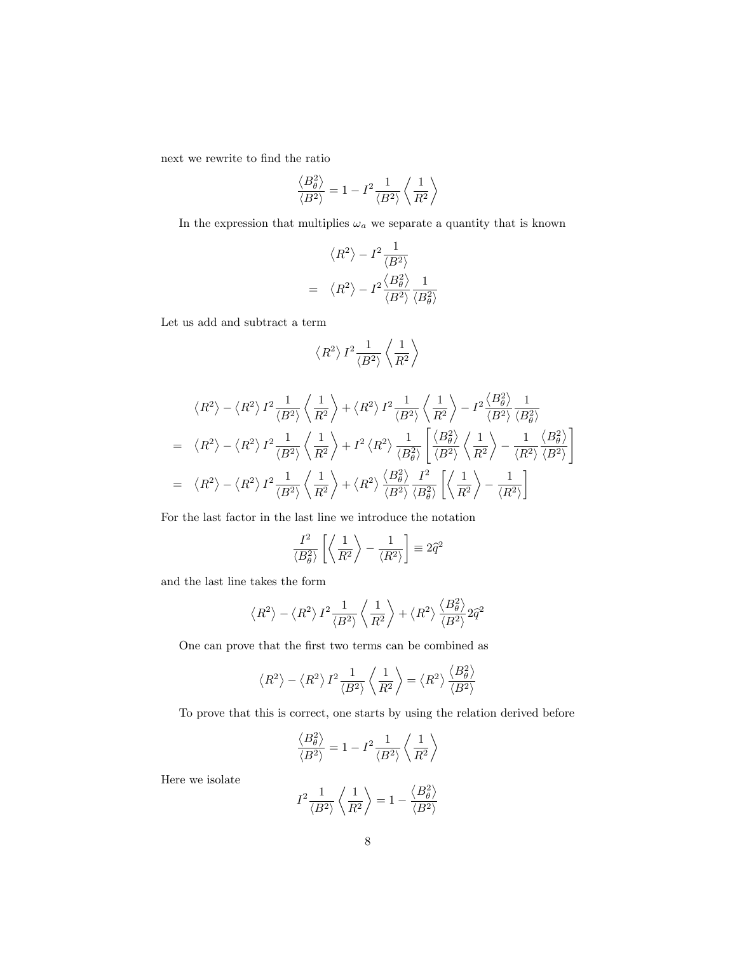next we rewrite to find the ratio

$$
\frac{\left\langle B_\theta^2 \right\rangle}{\left\langle B^2 \right\rangle} = 1 - I^2 \frac{1}{\left\langle B^2 \right\rangle} \left\langle \frac{1}{R^2} \right\rangle
$$

In the expression that multiplies  $\omega_a$  we separate a quantity that is known

$$
\langle R^2 \rangle - I^2 \frac{1}{\langle B^2 \rangle}
$$
  
= 
$$
\langle R^2 \rangle - I^2 \frac{\langle B_\theta^2 \rangle}{\langle B^2 \rangle} \frac{1}{\langle B_\theta^2 \rangle}
$$

Let us add and subtract a term

$$
\left\langle R^2 \right\rangle I^2 \frac{1}{\left\langle B^2 \right\rangle} \left\langle \frac{1}{R^2} \right\rangle
$$

$$
\langle R^2 \rangle - \langle R^2 \rangle I^2 \frac{1}{\langle B^2 \rangle} \left\langle \frac{1}{R^2} \right\rangle + \langle R^2 \rangle I^2 \frac{1}{\langle B^2 \rangle} \left\langle \frac{1}{R^2} \right\rangle - I^2 \frac{\langle B_\theta^2 \rangle}{\langle B^2 \rangle} \frac{1}{\langle B_\theta^2 \rangle}
$$
  
=  $\langle R^2 \rangle - \langle R^2 \rangle I^2 \frac{1}{\langle B^2 \rangle} \left\langle \frac{1}{R^2} \right\rangle + I^2 \langle R^2 \rangle \frac{1}{\langle B_\theta^2 \rangle} \left[ \frac{\langle B_\theta^2 \rangle}{\langle B^2 \rangle} \left\langle \frac{1}{R^2} \right\rangle - \frac{1}{\langle R^2 \rangle} \frac{\langle B_\theta^2 \rangle}{\langle B^2 \rangle} \right]$   
=  $\langle R^2 \rangle - \langle R^2 \rangle I^2 \frac{1}{\langle B^2 \rangle} \left\langle \frac{1}{R^2} \right\rangle + \langle R^2 \rangle \frac{\langle B_\theta^2 \rangle}{\langle B^2 \rangle} \frac{I^2}{\langle B_\theta^2 \rangle} \left[ \left\langle \frac{1}{R^2} \right\rangle - \frac{1}{\langle R^2 \rangle} \right]$ 

For the last factor in the last line we introduce the notation

$$
\frac{I^2}{\langle B_\theta^2 \rangle} \left[ \left\langle \frac{1}{R^2} \right\rangle - \frac{1}{\langle R^2 \rangle} \right] \equiv 2\hat{q}^2
$$

and the last line takes the form

$$
\left\langle R^{2}\right\rangle -\left\langle R^{2}\right\rangle I^{2}\frac{1}{\left\langle B^{2}\right\rangle }\left\langle \frac{1}{R^{2}}\right\rangle +\left\langle R^{2}\right\rangle \frac{\left\langle B_{\theta }^{2}\right\rangle }{\left\langle B^{2}\right\rangle }2\hat{q}^{2}
$$

One can prove that the first two terms can be combined as

$$
\left\langle R^{2}\right\rangle -\left\langle R^{2}\right\rangle I^{2}\frac{1}{\left\langle B^{2}\right\rangle }\left\langle \frac{1}{R^{2}}\right\rangle =\left\langle R^{2}\right\rangle \frac{\left\langle B_{\theta }^{2}\right\rangle }{\left\langle B^{2}\right\rangle }
$$

To prove that this is correct, one starts by using the relation derived before

$$
\frac{\left\langle B_\theta^2 \right\rangle}{\left\langle B^2 \right\rangle} = 1 - I^2 \frac{1}{\left\langle B^2 \right\rangle} \left\langle \frac{1}{R^2} \right\rangle
$$

Here we isolate

$$
I^2 \frac{1}{\langle B^2 \rangle} \left\langle \frac{1}{R^2} \right\rangle = 1 - \frac{\left\langle B_\theta^2 \right\rangle}{\langle B^2 \rangle}
$$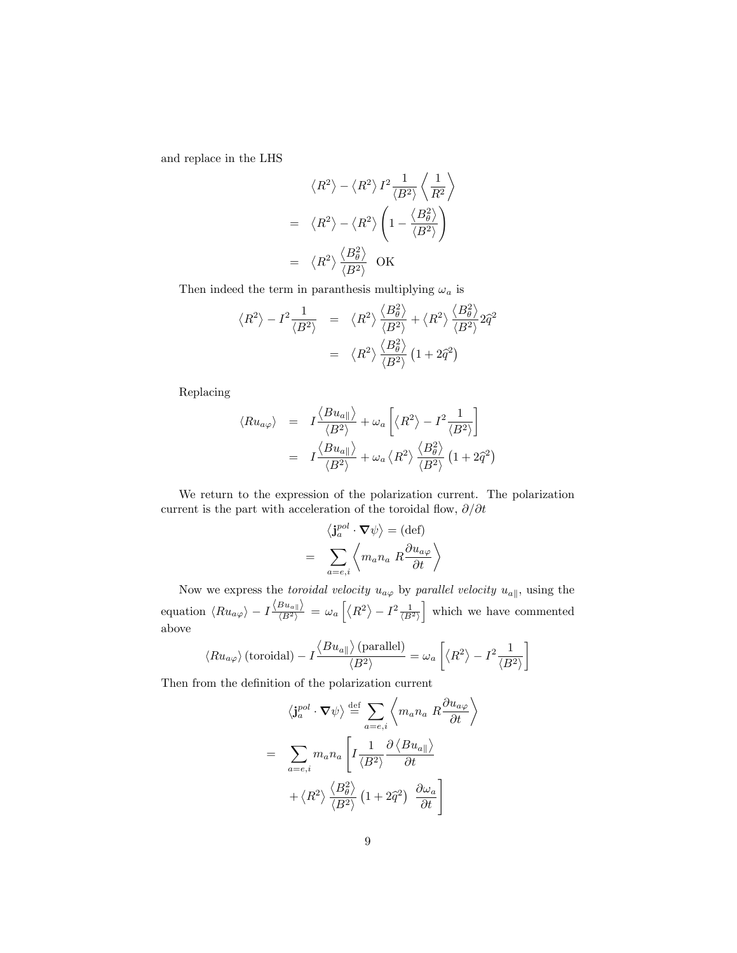and replace in the LHS

$$
\langle R^2 \rangle - \langle R^2 \rangle I^2 \frac{1}{\langle B^2 \rangle} \left\langle \frac{1}{R^2} \right\rangle
$$
  
=  $\langle R^2 \rangle - \langle R^2 \rangle \left(1 - \frac{\langle B_\theta^2 \rangle}{\langle B^2 \rangle} \right)$   
=  $\langle R^2 \rangle \frac{\langle B_\theta^2 \rangle}{\langle B^2 \rangle}$  OK

Then indeed the term in paranthesis multiplying  $\omega_a$  is

$$
\langle R^2 \rangle - I^2 \frac{1}{\langle B^2 \rangle} = \langle R^2 \rangle \frac{\langle B_\theta^2 \rangle}{\langle B^2 \rangle} + \langle R^2 \rangle \frac{\langle B_\theta^2 \rangle}{\langle B^2 \rangle} 2\hat{q}^2
$$

$$
= \langle R^2 \rangle \frac{\langle B_\theta^2 \rangle}{\langle B^2 \rangle} (1 + 2\hat{q}^2)
$$

Replacing

$$
\langle Ru_{a\varphi} \rangle = I \frac{\langle Bu_{a\parallel} \rangle}{\langle B^2 \rangle} + \omega_a \left[ \langle R^2 \rangle - I^2 \frac{1}{\langle B^2 \rangle} \right]
$$
  
=  $I \frac{\langle Bu_{a\parallel} \rangle}{\langle B^2 \rangle} + \omega_a \langle R^2 \rangle \frac{\langle B^2_{\theta} \rangle}{\langle B^2 \rangle} (1 + 2\hat{q}^2)$ 

We return to the expression of the polarization current. The polarization current is the part with acceleration of the toroidal flow,  $\partial/\partial t$ 

$$
\langle \mathbf{j}_a^{pol} \cdot \mathbf{\nabla} \psi \rangle = (\text{def})
$$

$$
= \sum_{a=e,i} \left\langle m_a n_a R \frac{\partial u_{a\varphi}}{\partial t} \right\rangle
$$

Now we express the toroidal velocity  $u_{a\varphi}$  by parallel velocity  $u_{a\parallel}$ , using the equation  $\langle Ru_{a\varphi} \rangle - I \frac{\langle Bu_{a} \rangle}{\langle B^2 \rangle} = \omega_a \left[ \langle R^2 \rangle - I^2 \frac{1}{\langle B^2 \rangle} \right]$ which we have commented above

$$
\langle R u_{a\varphi}\rangle\left(\text{toroidal}\right) - I \frac{\left\langle Bu_{a\parallel}\right\rangle\left(\text{parallel}\right)}{\langle B^2\rangle} = \omega_a\left[\left\langle R^2\right\rangle - I^2 \frac{1}{\langle B^2\rangle}\right]
$$

Then from the definition of the polarization current

$$
\langle \mathbf{j}_a^{pol} \cdot \nabla \psi \rangle \stackrel{\text{def}}{=} \sum_{a=e,i} \left\langle m_a n_a R \frac{\partial u_{a\varphi}}{\partial t} \right\rangle
$$

$$
= \sum_{a=e,i} m_a n_a \left[ I \frac{1}{\langle B^2 \rangle} \frac{\partial \langle B u_{a} \rangle}{\partial t} + \langle R^2 \rangle \frac{\langle B_\theta^2 \rangle}{\langle B^2 \rangle} \left( 1 + 2\hat{q}^2 \right) \frac{\partial \omega_a}{\partial t} \right]
$$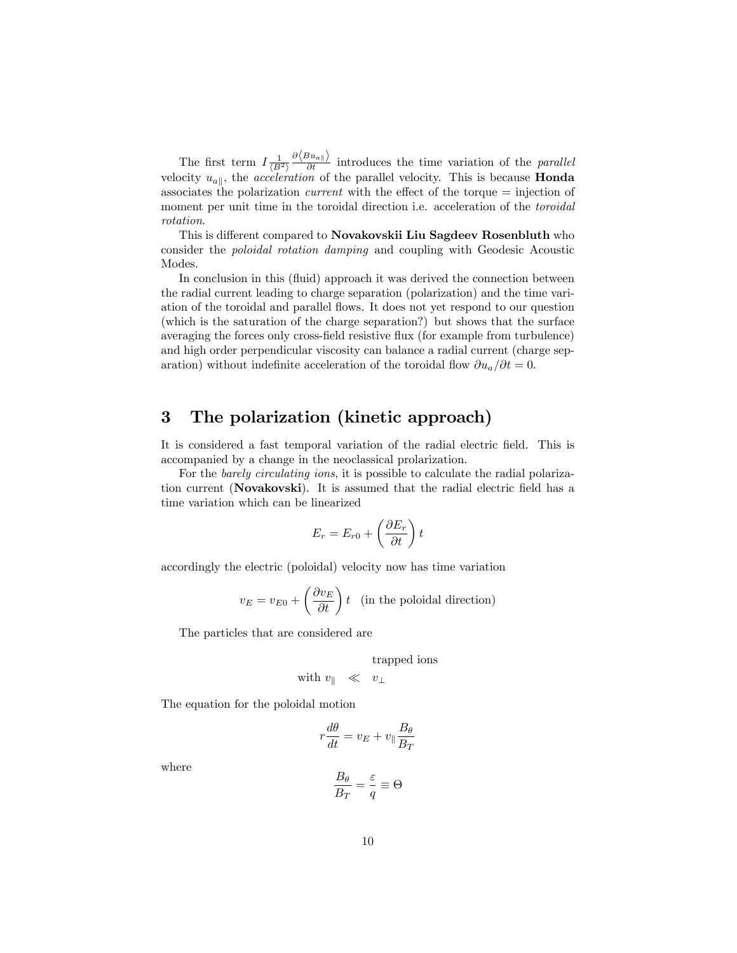The first term  $I\frac{1}{\langle B^2 \rangle} \frac{\partial \langle Bu_{a\parallel} \rangle}{\partial t}$  introduces the time variation of the *parallel* velocity  $u_{a\parallel}$ , the *acceleration* of the parallel velocity. This is because **Honda** associates the polarization *current* with the effect of the torque  $=$  injection of moment per unit time in the toroidal direction i.e. acceleration of the *toroidal* rotation.

This is different compared to Novakovskii Liu Sagdeev Rosenbluth who consider the poloidal rotation damping and coupling with Geodesic Acoustic Modes.

In conclusion in this (fluid) approach it was derived the connection between the radial current leading to charge separation (polarization) and the time variation of the toroidal and parallel áows. It does not yet respond to our question (which is the saturation of the charge separation?) but shows that the surface averaging the forces only cross-Öeld resistive áux (for example from turbulence) and high order perpendicular viscosity can balance a radial current (charge separation) without indefinite acceleration of the toroidal flow  $\partial u_a/\partial t = 0$ .

## 3 The polarization (kinetic approach)

It is considered a fast temporal variation of the radial electric field. This is accompanied by a change in the neoclassical prolarization.

For the *barely circulating ions*, it is possible to calculate the radial polarization current (Novakovski). It is assumed that the radial electric field has a time variation which can be linearized

$$
E_r = E_{r0} + \left(\frac{\partial E_r}{\partial t}\right)t
$$

accordingly the electric (poloidal) velocity now has time variation

$$
v_E = v_{E0} + \left(\frac{\partial v_E}{\partial t}\right)t
$$
 (in the poloidal direction)

The particles that are considered are

trapped ions

with 
$$
v_{\parallel} \ll v_{\perp}
$$

The equation for the poloidal motion

$$
r\frac{d\theta}{dt} = v_E + v_{\parallel} \frac{B_{\theta}}{B_T}
$$

where

$$
\frac{B_\theta}{B_T} = \frac{\varepsilon}{q} \equiv \Theta
$$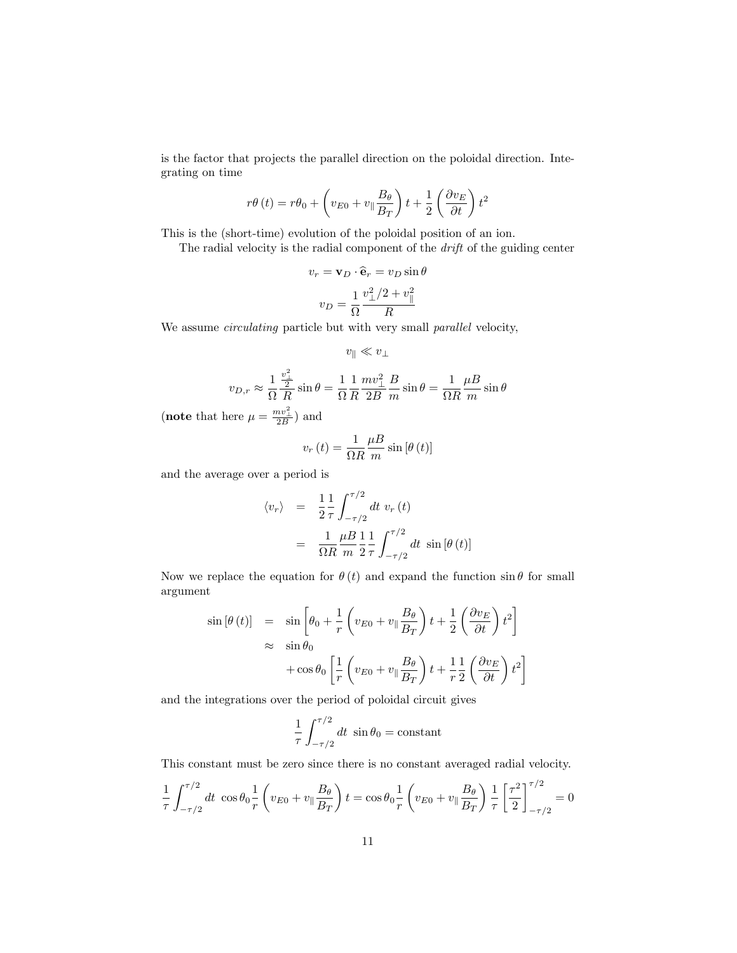is the factor that projects the parallel direction on the poloidal direction. Integrating on time

$$
r\theta(t) = r\theta_0 + \left(v_{E0} + v_{\parallel} \frac{B_{\theta}}{B_T}\right)t + \frac{1}{2}\left(\frac{\partial v_E}{\partial t}\right)t^2
$$

This is the (short-time) evolution of the poloidal position of an ion.

The radial velocity is the radial component of the drift of the guiding center

$$
v_r = \mathbf{v}_D \cdot \hat{\mathbf{e}}_r = v_D \sin \theta
$$

$$
v_D = \frac{1}{\Omega} \frac{v_\perp^2 / 2 + v_\parallel^2}{R}
$$

We assume *circulating* particle but with very small *parallel* velocity,

$$
v_\parallel \ll v_\perp
$$

$$
v_{D,r} \approx \frac{1}{\Omega} \frac{\frac{v_\perp^2}{2}}{R} \sin \theta = \frac{1}{\Omega} \frac{1}{R} \frac{mv_\perp^2}{2B} \frac{B}{m} \sin \theta = \frac{1}{\Omega R} \frac{\mu}{m} \sin \theta
$$

(note that here  $\mu = \frac{mv_{\perp}^2}{2B}$ ) and

$$
v_r(t) = \frac{1}{\Omega R} \frac{\mu B}{m} \sin \left[\theta \left(t\right)\right]
$$

and the average over a period is

$$
\langle v_r \rangle = \frac{1}{2} \frac{1}{\tau} \int_{-\tau/2}^{\tau/2} dt \ v_r(t)
$$

$$
= \frac{1}{\Omega R} \frac{\mu}{m} \frac{1}{2} \frac{1}{\tau} \int_{-\tau/2}^{\tau/2} dt \ \sin \left[\theta \left(t\right)\right]
$$

Now we replace the equation for  $\theta(t)$  and expand the function  $\sin \theta$  for small argument

$$
\sin \left[\theta \left(t\right)\right] = \sin \left[\theta_0 + \frac{1}{r} \left(v_{E0} + v_{\parallel} \frac{B_{\theta}}{B_T}\right) t + \frac{1}{2} \left(\frac{\partial v_E}{\partial t}\right) t^2\right] \n\approx \sin \theta_0 \n+ \cos \theta_0 \left[\frac{1}{r} \left(v_{E0} + v_{\parallel} \frac{B_{\theta}}{B_T}\right) t + \frac{1}{r} \frac{1}{2} \left(\frac{\partial v_E}{\partial t}\right) t^2\right]
$$

and the integrations over the period of poloidal circuit gives

$$
\frac{1}{\tau} \int_{-\tau/2}^{\tau/2} dt \sin \theta_0 = \text{constant}
$$

This constant must be zero since there is no constant averaged radial velocity.

$$
\frac{1}{\tau} \int_{-\tau/2}^{\tau/2} dt \cos \theta_0 \frac{1}{r} \left( v_{E0} + v_{\parallel} \frac{B_{\theta}}{B_T} \right) t = \cos \theta_0 \frac{1}{r} \left( v_{E0} + v_{\parallel} \frac{B_{\theta}}{B_T} \right) \frac{1}{\tau} \left[ \frac{\tau^2}{2} \right]_{-\tau/2}^{\tau/2} = 0
$$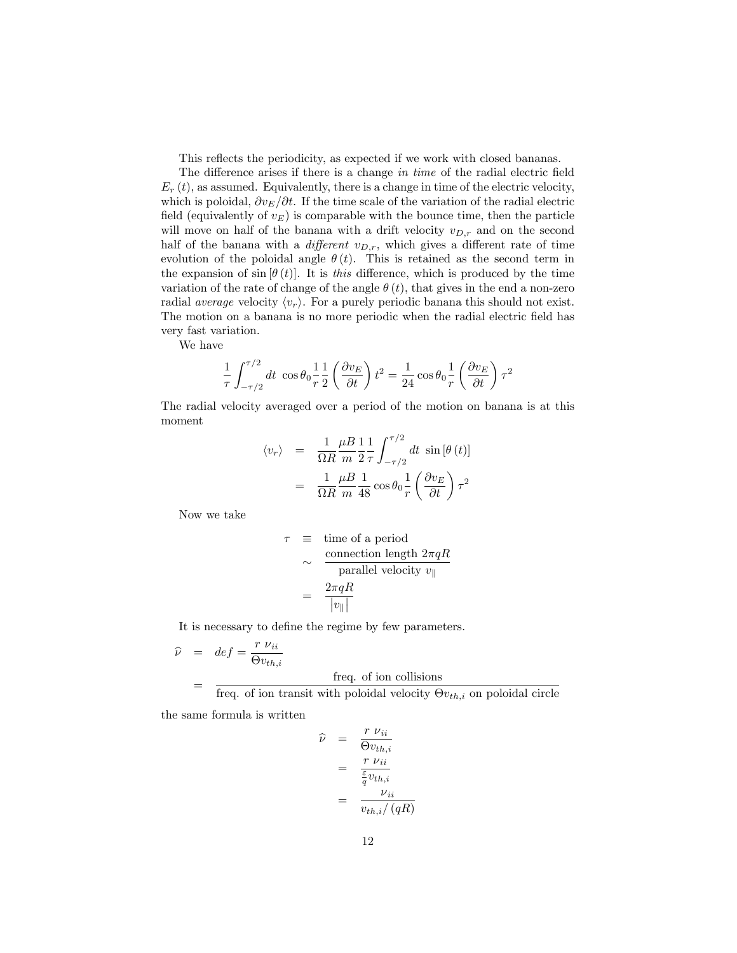This reflects the periodicity, as expected if we work with closed bananas.

The difference arises if there is a change in time of the radial electric field  $E_r(t)$ , as assumed. Equivalently, there is a change in time of the electric velocity, which is poloidal,  $\partial v_E/\partial t$ . If the time scale of the variation of the radial electric field (equivalently of  $v_E$ ) is comparable with the bounce time, then the particle will move on half of the banana with a drift velocity  $v_{D,r}$  and on the second half of the banana with a *different*  $v_{D,r}$ , which gives a different rate of time evolution of the poloidal angle  $\theta(t)$ . This is retained as the second term in the expansion of  $\sin \left[\theta(t)\right]$ . It is this difference, which is produced by the time variation of the rate of change of the angle  $\theta(t)$ , that gives in the end a non-zero radial *average* velocity  $\langle v_r \rangle$ . For a purely periodic banana this should not exist. The motion on a banana is no more periodic when the radial electric field has very fast variation.

We have

$$
\frac{1}{\tau} \int_{-\tau/2}^{\tau/2} dt \cos \theta_0 \frac{1}{r} \frac{1}{2} \left( \frac{\partial v_E}{\partial t} \right) t^2 = \frac{1}{24} \cos \theta_0 \frac{1}{r} \left( \frac{\partial v_E}{\partial t} \right) \tau^2
$$

The radial velocity averaged over a period of the motion on banana is at this moment

$$
\langle v_r \rangle = \frac{1}{\Omega R} \frac{\mu}{m} \frac{1}{2} \frac{1}{\tau} \int_{-\tau/2}^{\tau/2} dt \sin \left[\theta \left(t\right)\right]
$$

$$
= \frac{1}{\Omega R} \frac{\mu}{m} \frac{1}{48} \cos \theta_0 \frac{1}{r} \left(\frac{\partial v_E}{\partial t}\right) \tau^2
$$

Now we take

$$
\tau \equiv \text{time of a period}
$$
  
\n
$$
\sim \frac{\text{connection length } 2\pi qR}{\text{parallel velocity } v_{\parallel}}
$$
  
\n
$$
= \frac{2\pi qR}{|v_{\parallel}|}
$$

It is necessary to define the regime by few parameters.

$$
\hat{\nu} = de\hat{f} = \frac{r \nu_{ii}}{\Theta v_{th,i}} \n= \frac{f}{\Theta v_{th,i}} \quad \text{freq. of ion collisions}
$$

freq. of ion transit with poloidal velocity  $\Theta v_{th,i}$  on poloidal circle

the same formula is written

$$
\widehat{\nu} = \frac{r v_{ii}}{\Theta v_{th,i}} \n= \frac{r v_{ii}}{\frac{\varepsilon}{q} v_{th,i}} \n= \frac{\nu_{ii}}{v_{th,i}/(qR)}
$$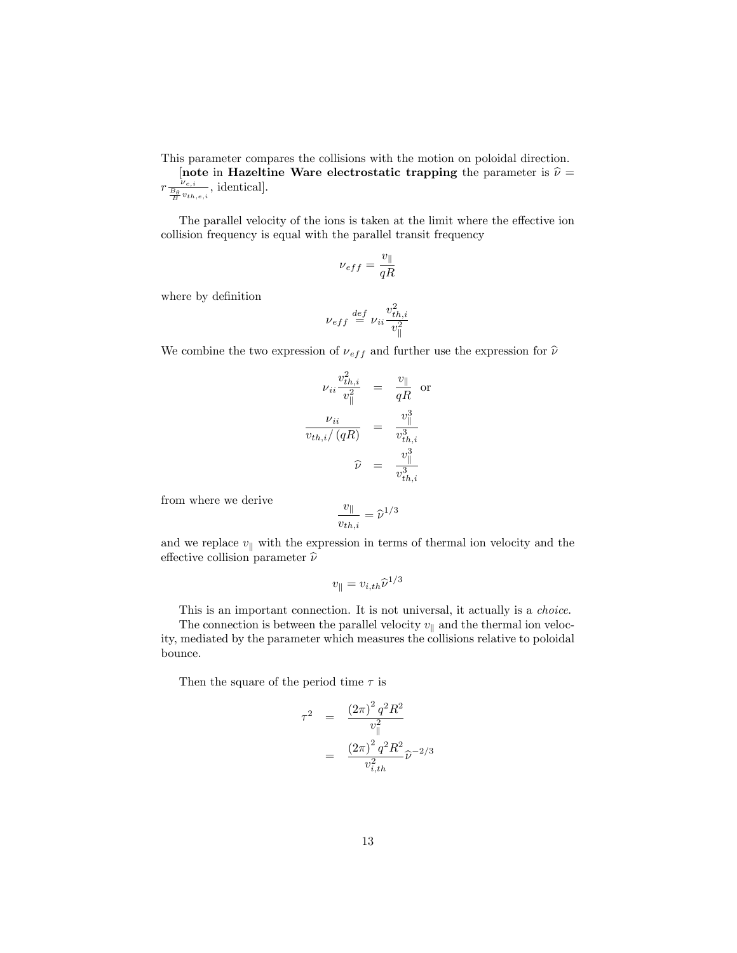This parameter compares the collisions with the motion on poloidal direction.

[note in Hazeltine Ware electrostatic trapping the parameter is  $\hat{\nu} =$  $r \frac{\nu_{e,i}}{\frac{B_{\theta}}{B} v_{th,e,i}}$ , identical].

The parallel velocity of the ions is taken at the limit where the effective ion collision frequency is equal with the parallel transit frequency

$$
\nu_{eff}=\frac{v_{\parallel}}{qR}
$$

where by definition

$$
\nu_{eff} \stackrel{def}{=} \nu_{ii} \frac{v_{th,i}^2}{v_{\parallel}^2}
$$

We combine the two expression of  $\nu_{eff}$  and further use the expression for  $\hat{\nu}$ 

$$
\nu_{ii} \frac{v_{th,i}^2}{v_{\parallel}^2} = \frac{v_{\parallel}}{qR} \text{ or}
$$
\n
$$
\frac{\nu_{ii}}{v_{th,i}/(qR)} = \frac{v_{\parallel}^3}{v_{th,i}^3}
$$
\n
$$
\widehat{\nu} = \frac{v_{\parallel}^3}{v_{th,i}^3}
$$

from where we derive

$$
\frac{v_{\parallel}}{v_{th,i}} = \widehat{\nu}^{1/3}
$$

and we replace  $v_{\parallel}$  with the expression in terms of thermal ion velocity and the effective collision parameter  $\hat{\nu}$ 

$$
v_{\parallel} = v_{i,th} \widehat{\nu}^{1/3}
$$

This is an important connection. It is not universal, it actually is a *choice*.

The connection is between the parallel velocity  $v_{\parallel}$  and the thermal ion velocity, mediated by the parameter which measures the collisions relative to poloidal bounce.

Then the square of the period time  $\tau$  is

$$
\tau^2 = \frac{(2\pi)^2 q^2 R^2}{v_{\parallel}^2}
$$

$$
= \frac{(2\pi)^2 q^2 R^2}{v_{i,th}^2} \hat{\nu}^{-2/3}
$$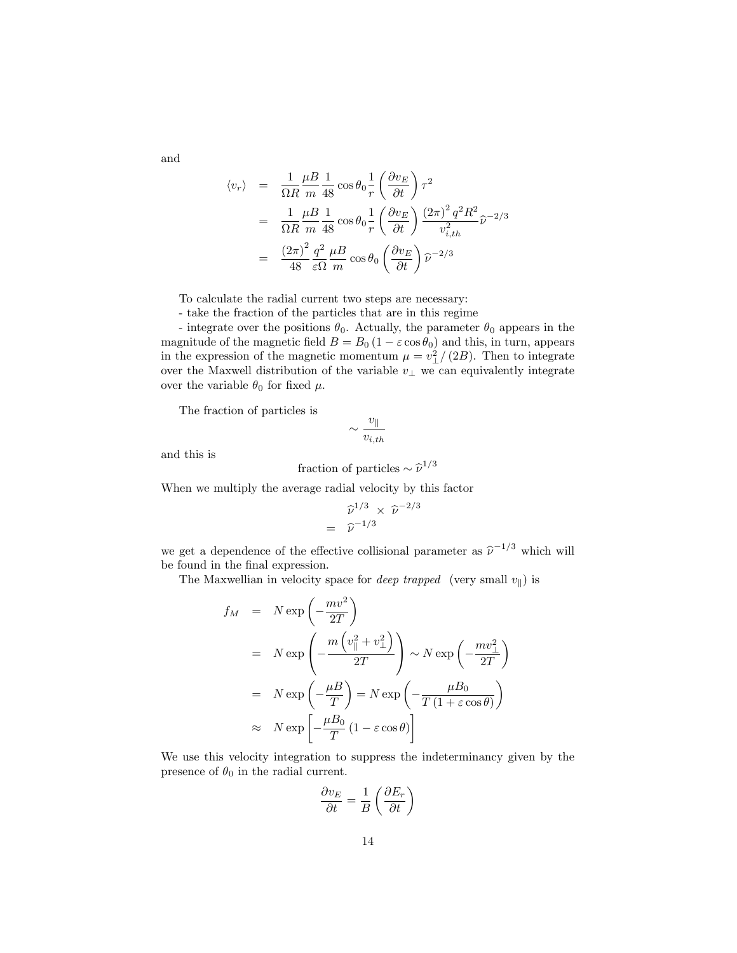and

$$
\langle v_r \rangle = \frac{1}{\Omega R} \frac{\mu B}{m} \frac{1}{48} \cos \theta_0 \frac{1}{r} \left( \frac{\partial v_E}{\partial t} \right) \tau^2
$$
  
= 
$$
\frac{1}{\Omega R} \frac{\mu B}{m} \frac{1}{48} \cos \theta_0 \frac{1}{r} \left( \frac{\partial v_E}{\partial t} \right) \frac{\left( 2\pi \right)^2 q^2 R^2}{v_{i,th}^2} \hat{\nu}^{-2/3}
$$
  
= 
$$
\frac{\left( 2\pi \right)^2}{48} \frac{q^2}{\varepsilon \Omega} \frac{\mu B}{m} \cos \theta_0 \left( \frac{\partial v_E}{\partial t} \right) \hat{\nu}^{-2/3}
$$

To calculate the radial current two steps are necessary:

- take the fraction of the particles that are in this regime

- integrate over the positions  $\theta_0$ . Actually, the parameter  $\theta_0$  appears in the magnitude of the magnetic field  $B = B_0 (1 - \varepsilon \cos \theta_0)$  and this, in turn, appears in the expression of the magnetic momentum  $\mu = v_{\perp}^2/(2B)$ . Then to integrate over the Maxwell distribution of the variable  $v_{\perp}$  we can equivalently integrate over the variable  $\theta_0$  for fixed  $\mu$ .

The fraction of particles is

$$
\sim \frac{v_{\parallel}}{v_{i,th}}
$$

and this is

fraction of particles 
$$
\sim \hat{\nu}^{1/3}
$$

When we multiply the average radial velocity by this factor

$$
\widehat{\nu}^{1/3} \times \widehat{\nu}^{-2/3}
$$

$$
= \widehat{\nu}^{-1/3}
$$

we get a dependence of the effective collisional parameter as  $\hat{\nu}^{-1/3}$  which will be found in the final expression.

The Maxwellian in velocity space for *deep trapped* (very small  $v_{\parallel}$ ) is

$$
f_M = N \exp\left(-\frac{mv^2}{2T}\right)
$$
  
=  $N \exp\left(-\frac{m\left(v_{\parallel}^2 + v_{\perp}^2\right)}{2T}\right) \sim N \exp\left(-\frac{mv_{\perp}^2}{2T}\right)$   
=  $N \exp\left(-\frac{\mu B}{T}\right) = N \exp\left(-\frac{\mu B_0}{T(1+\varepsilon \cos \theta)}\right)$   
 $\approx N \exp\left[-\frac{\mu B_0}{T}(1-\varepsilon \cos \theta)\right]$ 

We use this velocity integration to suppress the indeterminancy given by the presence of  $\theta_0$  in the radial current.

$$
\frac{\partial v_E}{\partial t} = \frac{1}{B} \left( \frac{\partial E_r}{\partial t} \right)
$$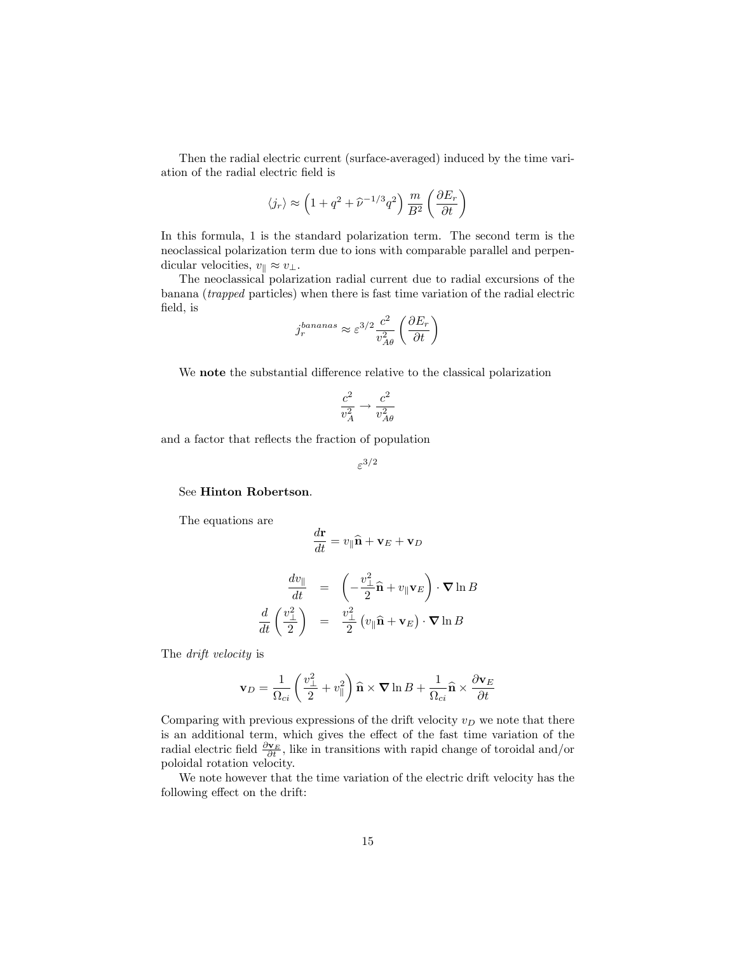Then the radial electric current (surface-averaged) induced by the time variation of the radial electric Öeld is

$$
\langle j_r\rangle \approx \left(1+q^2+\widehat{\nu}^{-1/3}q^2\right)\frac{m}{B^2}\left(\frac{\partial E_r}{\partial t}\right)
$$

In this formula, 1 is the standard polarization term. The second term is the neoclassical polarization term due to ions with comparable parallel and perpendicular velocities,  $v_{\parallel} \approx v_{\perp}$ .

The neoclassical polarization radial current due to radial excursions of the banana (trapped particles) when there is fast time variation of the radial electric field, is

$$
j_r^{bananas} \approx \varepsilon^{3/2} \frac{c^2}{v_{A\theta}^2} \left( \frac{\partial E_r}{\partial t} \right)
$$

We note the substantial difference relative to the classical polarization

$$
\frac{c^2}{v_A^2}\rightarrow \frac{c^2}{v_{A\theta}^2}
$$

and a factor that reflects the fraction of population

$$
\varepsilon^{3/2}
$$

See Hinton Robertson.

The equations are

$$
\frac{d\mathbf{r}}{dt} = v_{\parallel}\hat{\mathbf{n}} + \mathbf{v}_E + \mathbf{v}_D
$$

$$
\begin{array}{rcl}\n\frac{dv_{\parallel}}{dt} & = & \left(-\frac{v_{\perp}^2}{2}\hat{\mathbf{n}} + v_{\parallel} \mathbf{v}_{E}\right) \cdot \nabla \ln B \\
\frac{d}{dt}\left(\frac{v_{\perp}^2}{2}\right) & = & \frac{v_{\perp}^2}{2}\left(v_{\parallel} \hat{\mathbf{n}} + \mathbf{v}_{E}\right) \cdot \nabla \ln B\n\end{array}
$$

The drift velocity is

$$
\mathbf{v}_D = \frac{1}{\Omega_{ci}} \left( \frac{v_\perp^2}{2} + v_\parallel^2 \right) \mathbf{\hat{n}} \times \mathbf{\nabla} \ln B + \frac{1}{\Omega_{ci}} \mathbf{\hat{n}} \times \frac{\partial \mathbf{v}_E}{\partial t}
$$

Comparing with previous expressions of the drift velocity  $v_D$  we note that there is an additional term, which gives the effect of the fast time variation of the radial electric field  $\frac{\partial \mathbf{v}_E}{\partial t}$ , like in transitions with rapid change of toroidal and/or poloidal rotation velocity.

We note however that the time variation of the electric drift velocity has the following effect on the drift: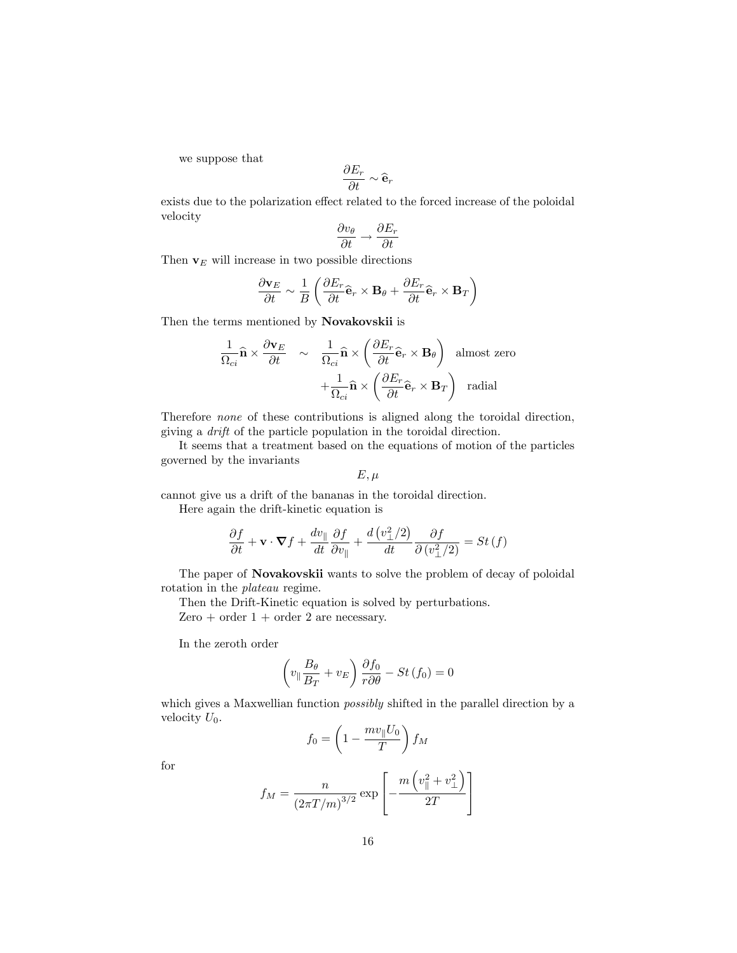we suppose that

$$
\frac{\partial E_r}{\partial t} \sim \widehat{\mathbf{e}}_r
$$

exists due to the polarization effect related to the forced increase of the poloidal velocity

$$
\frac{\partial v_{\theta}}{\partial t} \rightarrow \frac{\partial E_r}{\partial t}
$$

Then  $v_E$  will increase in two possible directions

$$
\frac{\partial \mathbf{v}_E}{\partial t} \sim \frac{1}{B} \left( \frac{\partial E_r}{\partial t} \hat{\mathbf{e}}_r \times \mathbf{B}_{\theta} + \frac{\partial E_r}{\partial t} \hat{\mathbf{e}}_r \times \mathbf{B}_T \right)
$$

Then the terms mentioned by Novakovskii is

$$
\frac{1}{\Omega_{ci}} \mathbf{\hat{n}} \times \frac{\partial \mathbf{v}_E}{\partial t} \quad \sim \quad \frac{1}{\Omega_{ci}} \mathbf{\hat{n}} \times \left( \frac{\partial E_r}{\partial t} \mathbf{\hat{e}}_r \times \mathbf{B}_{\theta} \right) \text{ almost zero} \n+ \frac{1}{\Omega_{ci}} \mathbf{\hat{n}} \times \left( \frac{\partial E_r}{\partial t} \mathbf{\hat{e}}_r \times \mathbf{B}_T \right) \text{ radial}
$$

Therefore none of these contributions is aligned along the toroidal direction, giving a drift of the particle population in the toroidal direction.

It seems that a treatment based on the equations of motion of the particles governed by the invariants

$$
E,\mu
$$

cannot give us a drift of the bananas in the toroidal direction. Here again the drift-kinetic equation is

$$
\frac{\partial f}{\partial t} + \mathbf{v} \cdot \nabla f + \frac{dv_{\parallel}}{dt} \frac{\partial f}{\partial v_{\parallel}} + \frac{d\left(v_{\perp}^{2}/2\right)}{dt} \frac{\partial f}{\partial \left(v_{\perp}^{2}/2\right)} = St\left(f\right)
$$

The paper of Novakovskii wants to solve the problem of decay of poloidal rotation in the plateau regime.

Then the Drift-Kinetic equation is solved by perturbations. Zero  $+$  order  $1 +$  order 2 are necessary.

In the zeroth order

$$
\left(v_{\parallel}\frac{B_{\theta}}{B_{T}} + v_{E}\right)\frac{\partial f_{0}}{r\partial\theta} - St\left(f_{0}\right) = 0
$$

which gives a Maxwellian function *possibly* shifted in the parallel direction by a velocity  $U_0$ .

$$
f_0 = \left(1 - \frac{mv_{\parallel}U_0}{T}\right)f_M
$$

for

$$
f_M = \frac{n}{\left(2\pi T/m\right)^{3/2}} \exp\left[-\frac{m\left(v_{\parallel}^2 + v_{\perp}^2\right)}{2T}\right]
$$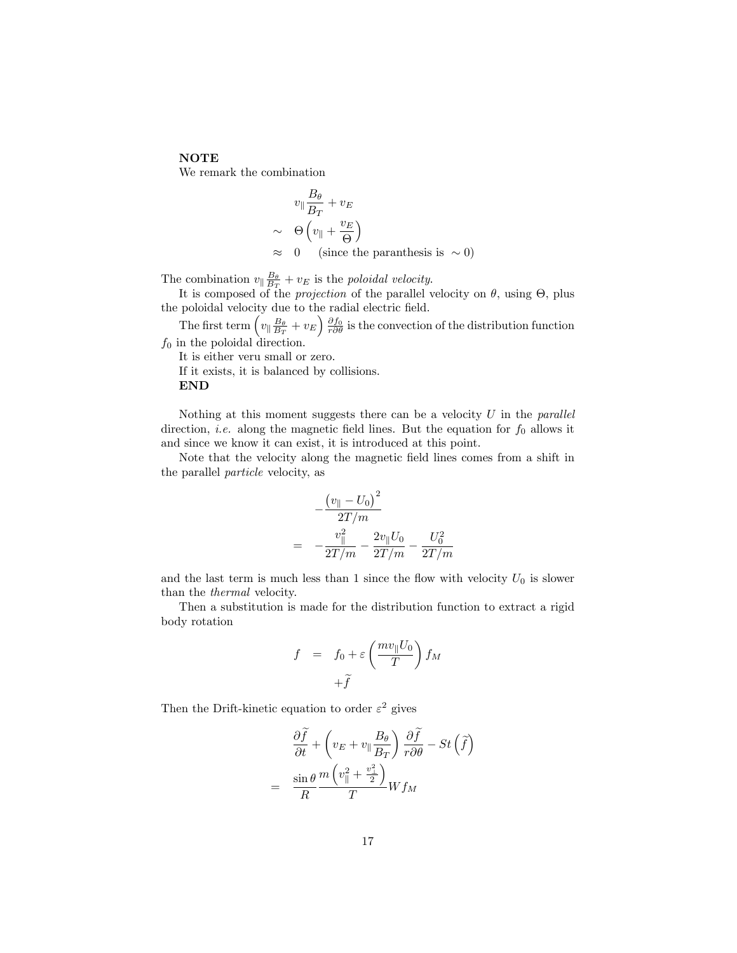#### **NOTE**

We remark the combination

$$
v_{\parallel} \frac{B_{\theta}}{B_{T}} + v_{E}
$$
  
\n
$$
\sim \Theta \left( v_{\parallel} + \frac{v_{E}}{\Theta} \right)
$$
  
\n
$$
\approx 0 \quad \text{(since the paranthesis is } \sim 0\text{)}
$$

The combination  $v_{\parallel} \frac{B_{\theta}}{B_{T}} + v_E$  is the poloidal velocity.

It is composed of the *projection* of the parallel velocity on  $\theta$ , using  $\Theta$ , plus the poloidal velocity due to the radial electric field.

The first term  $\left(v_{\parallel} \frac{B_{\theta}}{B_{T}}+v_{E}\right) \frac{\partial f_{0}}{r \partial \theta}$  is the convection of the distribution function  $f_0$  in the poloidal direction.

It is either veru small or zero.

If it exists, it is balanced by collisions.

#### END

Nothing at this moment suggests there can be a velocity  $U$  in the *parallel* direction, *i.e.* along the magnetic field lines. But the equation for  $f_0$  allows it and since we know it can exist, it is introduced at this point.

Note that the velocity along the magnetic Öeld lines comes from a shift in the parallel particle velocity, as

$$
-\frac{(v_{\parallel} - U_0)^2}{2T/m}
$$
  
= 
$$
-\frac{v_{\parallel}^2}{2T/m} - \frac{2v_{\parallel}U_0}{2T/m} - \frac{U_0^2}{2T/m}
$$

and the last term is much less than 1 since the flow with velocity  $U_0$  is slower than the thermal velocity.

Then a substitution is made for the distribution function to extract a rigid body rotation

$$
f = f_0 + \varepsilon \left(\frac{mv_{\parallel}U_0}{T}\right) f_M
$$

$$
+ \tilde{f}
$$

Then the Drift-kinetic equation to order  $\varepsilon^2$  gives

$$
\frac{\partial \widetilde{f}}{\partial t} + \left(v_E + v_{\parallel} \frac{B_{\theta}}{B_T}\right) \frac{\partial \widetilde{f}}{r \partial \theta} - St\left(\widetilde{f}\right)
$$

$$
= \frac{\sin \theta}{R} \frac{m\left(v_{\parallel}^2 + \frac{v_{\perp}^2}{2}\right)}{T} W f_M
$$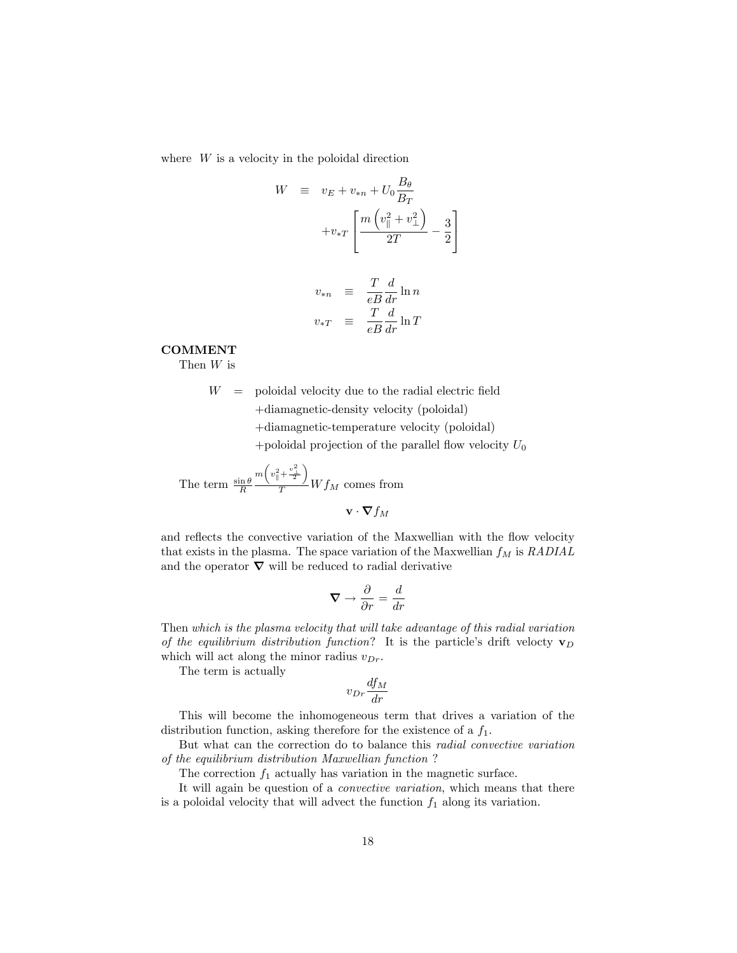where  $W$  is a velocity in the poloidal direction

$$
W = v_E + v_{*n} + U_0 \frac{B_\theta}{B_T}
$$

$$
+ v_{*T} \left[ \frac{m \left( v_\parallel^2 + v_\perp^2 \right)}{2T} - \frac{3}{2} \right]
$$

$$
v_{*n} \equiv \frac{T}{eB} \frac{d}{dr} \ln n
$$
  

$$
v_{*T} \equiv \frac{T}{eB} \frac{d}{dr} \ln T
$$

#### COMMENT

Then W is

 $W =$  poloidal velocity due to the radial electric field +diamagnetic-density velocity (poloidal) +diamagnetic-temperature velocity (poloidal)

+poloidal projection of the parallel flow velocity  $U_0$ 

The term  $\frac{\sin \theta}{R}$  $m\left(v_{\parallel}^2+\frac{v_{\perp}^2}{2}\right)$  $\frac{1}{T} W f_M$  comes from

 $\mathbf{v} \cdot \nabla f_M$ 

and reflects the convective variation of the Maxwellian with the flow velocity that exists in the plasma. The space variation of the Maxwellian  $f_M$  is  $RADIAL$ and the operator  $\nabla$  will be reduced to radial derivative

$$
\nabla \to \frac{\partial}{\partial r} = \frac{d}{dr}
$$

Then which is the plasma velocity that will take advantage of this radial variation of the equilibrium distribution function? It is the particle's drift velocty  $\mathbf{v}_D$ which will act along the minor radius  $v_{Dr}$ .

The term is actually

$$
v_{Dr}\frac{df_M}{dr}
$$

This will become the inhomogeneous term that drives a variation of the distribution function, asking therefore for the existence of a  $f_1$ .

But what can the correction do to balance this radial convective variation of the equilibrium distribution Maxwellian function ?

The correction  $f_1$  actually has variation in the magnetic surface.

It will again be question of a convective variation, which means that there is a poloidal velocity that will advect the function  $f_1$  along its variation.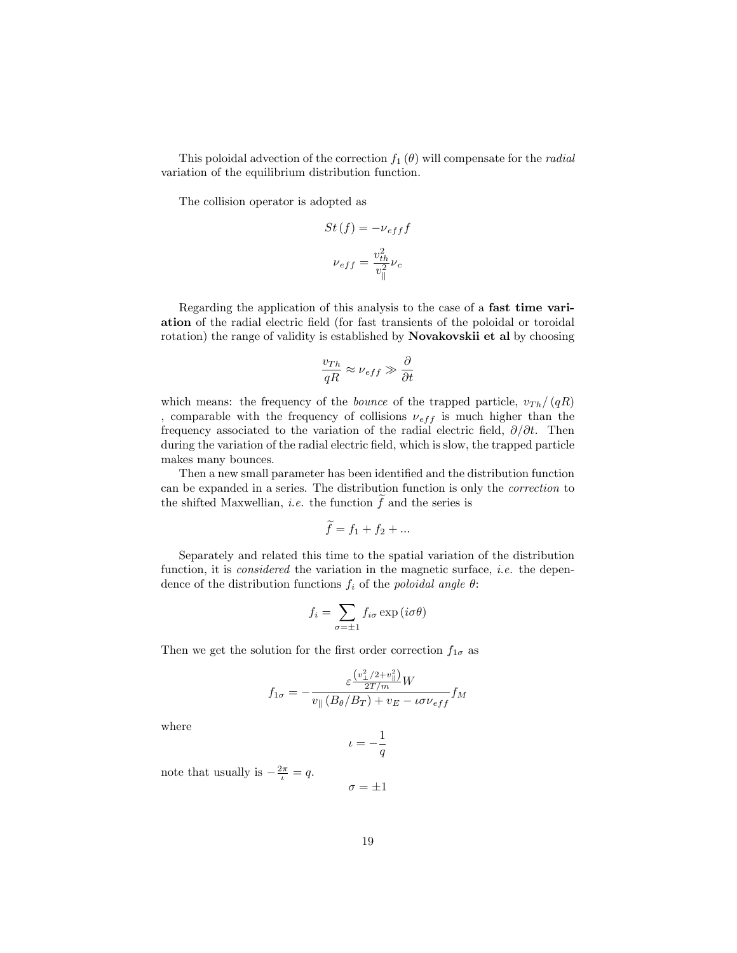This poloidal advection of the correction  $f_1(\theta)$  will compensate for the *radial* variation of the equilibrium distribution function.

The collision operator is adopted as

$$
St(f) = -\nu_{eff}f
$$

$$
\nu_{eff} = \frac{v_{th}^2}{v_{\parallel}^2}\nu_c
$$

Regarding the application of this analysis to the case of a fast time variation of the radial electric field (for fast transients of the poloidal or toroidal rotation) the range of validity is established by Novakovskii et al by choosing

$$
\frac{v_{Th}}{qR} \approx \nu_{eff} \gg \frac{\partial}{\partial t}
$$

which means: the frequency of the *bounce* of the trapped particle,  $v_{Th}/(qR)$ comparable with the frequency of collisions  $\nu_{eff}$  is much higher than the frequency associated to the variation of the radial electric field,  $\partial/\partial t$ . Then during the variation of the radial electric field, which is slow, the trapped particle makes many bounces.

Then a new small parameter has been identified and the distribution function can be expanded in a series. The distribution function is only the correction to the shifted Maxwellian, *i.e.* the function  $\ddot{f}$  and the series is

$$
\widetilde{f} = f_1 + f_2 + \dots
$$

Separately and related this time to the spatial variation of the distribution function, it is *considered* the variation in the magnetic surface, *i.e.* the dependence of the distribution functions  $f_i$  of the *poloidal angle*  $\theta$ :

$$
f_i = \sum_{\sigma = \pm 1} f_{i\sigma} \exp(i\sigma\theta)
$$

Then we get the solution for the first order correction  $f_{1\sigma}$  as

$$
f_{1\sigma} = -\frac{\varepsilon \frac{\left(v_{\perp}^2/2 + v_{\parallel}^2\right)}{2T/m}W}{v_{\parallel} \left(B_{\theta}/B_T\right) + v_E - \iota \sigma \nu_{eff}} f_M
$$

where

$$
\iota=-\frac{1}{q}
$$

note that usually is  $-\frac{2\pi}{\iota} = q$ .

$$
\sigma = \pm 1
$$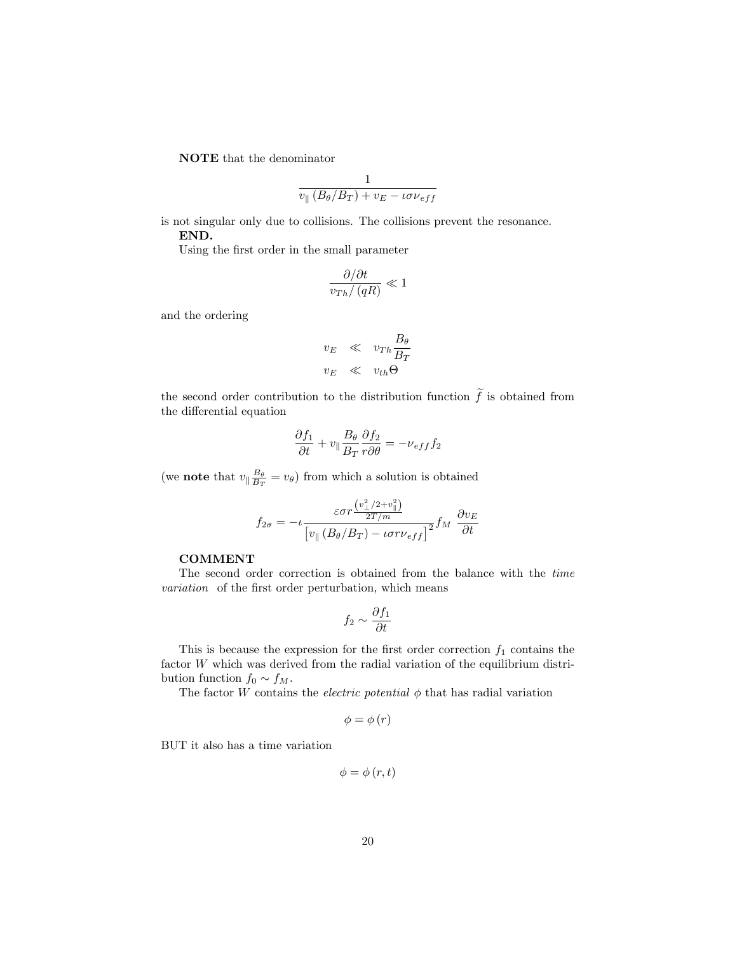NOTE that the denominator

$$
\frac{1}{v_{\parallel} (B_{\theta}/B_T) + v_E - \iota \sigma \nu_{eff}}
$$

is not singular only due to collisions. The collisions prevent the resonance. END.

Using the first order in the small parameter

$$
\frac{\partial/\partial t}{v_{Th}/\left(qR\right)} \ll 1
$$

and the ordering

$$
v_E \ll v_{Th} \frac{B_\theta}{B_T}
$$
  

$$
v_E \ll v_{th} \Theta
$$

the second order contribution to the distribution function  $\tilde{f}$  is obtained from the differential equation

$$
\frac{\partial f_1}{\partial t} + v_{\parallel} \frac{B_{\theta}}{B_T} \frac{\partial f_2}{r \partial \theta} = -\nu_{eff} f_2
$$

(we **note** that  $v_{\parallel} \frac{B_{\theta}}{B_T} = v_{\theta}$ ) from which a solution is obtained

$$
f_{2\sigma} = -\iota \frac{\varepsilon \sigma r \frac{\left(v_{\perp}^2 / 2 + v_{\parallel}^2\right)}{2T/m}}{\left[v_{\parallel} \left(B_{\theta} / B_T\right) - \iota \sigma r \nu_{eff}\right]^2} f_M \frac{\partial v_E}{\partial t}
$$

#### COMMENT

The second order correction is obtained from the balance with the time variation of the first order perturbation, which means

$$
f_2\sim \frac{\partial f_1}{\partial t}
$$

This is because the expression for the first order correction  $f_1$  contains the factor W which was derived from the radial variation of the equilibrium distribution function  $f_0 \sim f_M$ .

The factor  $W$  contains the *electric potential*  $\phi$  that has radial variation

$$
\phi = \phi(r)
$$

BUT it also has a time variation

$$
\phi=\phi\left(r,t\right)
$$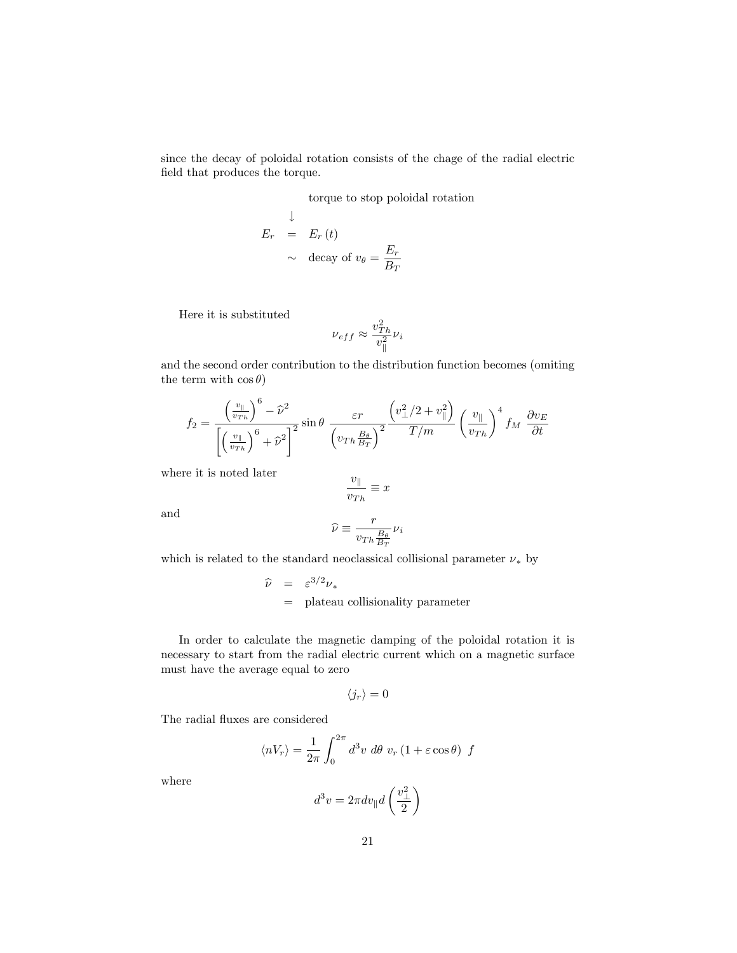since the decay of poloidal rotation consists of the chage of the radial electric field that produces the torque.

torque to stop poloidal rotation

$$
E_r = E_r(t)
$$
  
 
$$
\sim \text{ decay of } v_\theta = \frac{E_r}{B_T}
$$

Here it is substituted

$$
\nu_{eff} \approx \frac{v_{Th}^2}{v_{\parallel}^2} \nu_i
$$

and the second order contribution to the distribution function becomes (omiting the term with  $\cos \theta$ )

$$
f_2 = \frac{\left(\frac{v_{\parallel}}{v_{Th}}\right)^6 - \hat{\nu}^2}{\left[\left(\frac{v_{\parallel}}{v_{Th}}\right)^6 + \hat{\nu}^2\right]^2} \sin \theta \frac{\varepsilon r}{\left(v_{Th} \frac{B_{\theta}}{B_T}\right)^2} \frac{\left(v_{\perp}^2/2 + v_{\parallel}^2\right)}{T/m} \left(\frac{v_{\parallel}}{v_{Th}}\right)^4 f_M \frac{\partial v_E}{\partial t}
$$

where it is noted later

$$
\frac{v_{\parallel}}{v_{Th}}\equiv x
$$

and

$$
\widehat{\nu}\equiv\frac{r}{v_{Th}\frac{B_{\theta}}{B_{T}}}\nu_{i}
$$

which is related to the standard neoclassical collisional parameter  $\nu_*$  by

$$
\hat{\nu} = \varepsilon^{3/2} \nu_*
$$
  
= plateau collisionality parameter

In order to calculate the magnetic damping of the poloidal rotation it is necessary to start from the radial electric current which on a magnetic surface must have the average equal to zero

$$
\langle j_r \rangle = 0
$$

The radial fluxes are considered

$$
\langle nV_r \rangle = \frac{1}{2\pi} \int_0^{2\pi} d^3v \, d\theta \, v_r \left( 1 + \varepsilon \cos \theta \right) \, f
$$

where

$$
d^3v=2\pi dv_{\parallel} d\left(\frac{v_{\perp}^2}{2}\right)
$$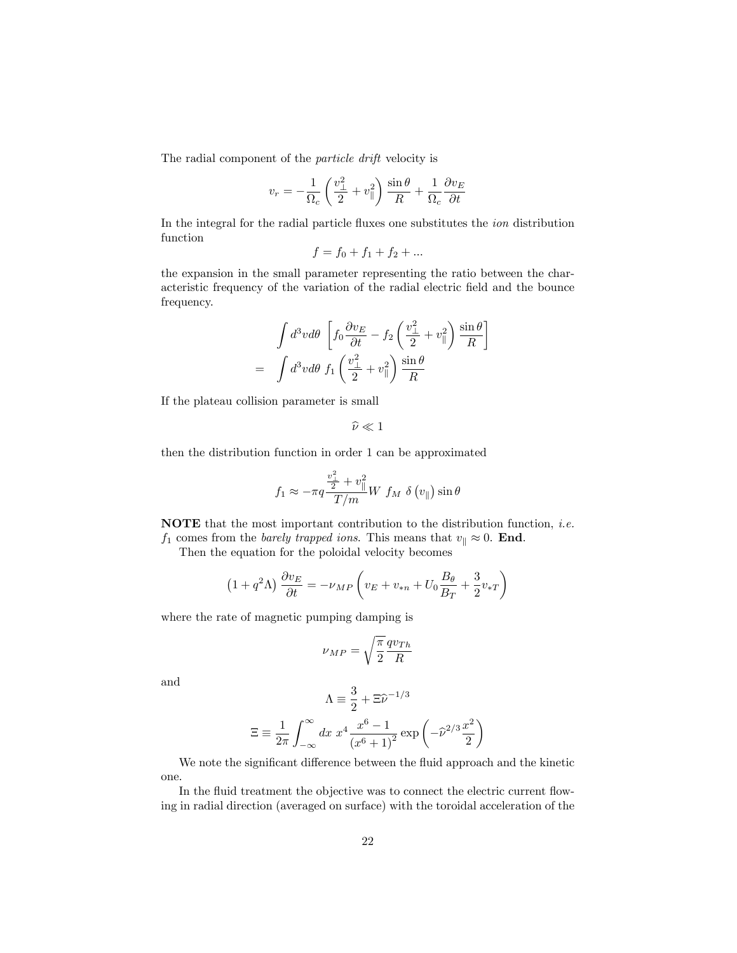The radial component of the particle drift velocity is

$$
v_r = -\frac{1}{\Omega_c} \left( \frac{v_\perp^2}{2} + v_\parallel^2 \right) \frac{\sin \theta}{R} + \frac{1}{\Omega_c} \frac{\partial v_E}{\partial t}
$$

In the integral for the radial particle fluxes one substitutes the *ion* distribution function

$$
f = f_0 + f_1 + f_2 + \dots
$$

the expansion in the small parameter representing the ratio between the characteristic frequency of the variation of the radial electric field and the bounce frequency.

$$
\int d^3v d\theta \left[ f_0 \frac{\partial v_E}{\partial t} - f_2 \left( \frac{v_\perp^2}{2} + v_\parallel^2 \right) \frac{\sin \theta}{R} \right]
$$

$$
= \int d^3v d\theta \ f_1 \left( \frac{v_\perp^2}{2} + v_\parallel^2 \right) \frac{\sin \theta}{R}
$$

If the plateau collision parameter is small

$$
\widehat{\nu}\ll 1
$$

then the distribution function in order 1 can be approximated

$$
f_1 \approx -\pi q \frac{\frac{v_1^2}{2} + v_{\parallel}^2}{T/m} W f_M \delta(v_{\parallel}) \sin \theta
$$

**NOTE** that the most important contribution to the distribution function, *i.e.* 

 $f_1$  comes from the *barely trapped ions*. This means that  $v_{\parallel} \approx 0$ . **End**.

Then the equation for the poloidal velocity becomes

$$
(1+q^2\Lambda)\frac{\partial v_E}{\partial t} = -\nu_{MP}\left(v_E + v_{*n} + U_0 \frac{B_\theta}{B_T} + \frac{3}{2}v_{*T}\right)
$$

where the rate of magnetic pumping damping is

$$
\nu_{MP} = \sqrt{\frac{\pi}{2}} \frac{q v_{Th}}{R}
$$

and

$$
\Lambda = \frac{3}{2} + \Xi \hat{\nu}^{-1/3}
$$

$$
\Xi = \frac{1}{2\pi} \int_{-\infty}^{\infty} dx \ x^4 \frac{x^6 - 1}{(x^6 + 1)^2} \exp\left(-\hat{\nu}^{2/3} \frac{x^2}{2}\right)
$$

 $\Omega$ 

We note the significant difference between the fluid approach and the kinetic one.

In the fluid treatment the objective was to connect the electric current flowing in radial direction (averaged on surface) with the toroidal acceleration of the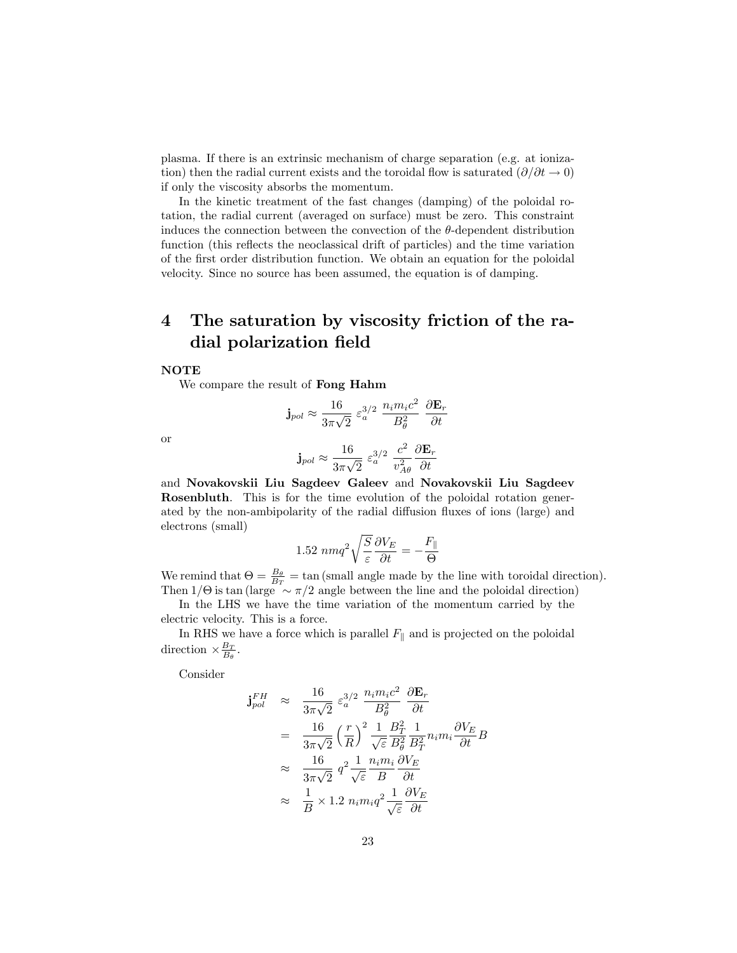plasma. If there is an extrinsic mechanism of charge separation (e.g. at ionization) then the radial current exists and the toroidal flow is saturated  $(\partial/\partial t \rightarrow 0)$ if only the viscosity absorbs the momentum.

In the kinetic treatment of the fast changes (damping) of the poloidal rotation, the radial current (averaged on surface) must be zero. This constraint induces the connection between the convection of the  $\theta$ -dependent distribution function (this reflects the neoclassical drift of particles) and the time variation of the first order distribution function. We obtain an equation for the poloidal velocity. Since no source has been assumed, the equation is of damping.

# 4 The saturation by viscosity friction of the radial polarization field

#### **NOTE**

We compare the result of Fong Hahm

$$
\mathbf{j}_{pol} \approx \frac{16}{3\pi\sqrt{2}} \varepsilon_a^{3/2} \frac{n_i m_i c^2}{B_\theta^2} \frac{\partial \mathbf{E}_r}{\partial t}
$$

or

$$
\mathbf{j}_{pol} \approx \frac{16}{3\pi\sqrt{2}} \ \varepsilon_a^{3/2} \ \frac{c^2}{v_{A\theta}^2} \frac{\partial \mathbf{E}_r}{\partial t}
$$

and Novakovskii Liu Sagdeev Galeev and Novakovskii Liu Sagdeev Rosenbluth. This is for the time evolution of the poloidal rotation generated by the non-ambipolarity of the radial diffusion fluxes of ions (large) and electrons (small)

$$
1.52 \ nmq^2\sqrt{\frac{S}{\varepsilon}}\frac{\partial V_E}{\partial t} = -\frac{F_{\parallel}}{\Theta}
$$

We remind that  $\Theta = \frac{B_{\theta}}{B_T} = \tan$  (small angle made by the line with toroidal direction). Then  $1/\Theta$  is tan (large  $\sim \pi/2$  angle between the line and the poloidal direction)

In the LHS we have the time variation of the momentum carried by the electric velocity. This is a force.

In RHS we have a force which is parallel  $F_{\parallel}$  and is projected on the poloidal direction  $\times \frac{B_T}{B_\theta}$ .

Consider

$$
\begin{split}\n\mathbf{j}_{pol}^{FH} &\approx \frac{16}{3\pi\sqrt{2}} \varepsilon_a^{3/2} \frac{n_i m_i c^2}{B_\theta^2} \frac{\partial \mathbf{E}_r}{\partial t} \\
&= \frac{16}{3\pi\sqrt{2}} \left(\frac{r}{R}\right)^2 \frac{1}{\sqrt{\varepsilon}} \frac{B_T^2}{B_\theta^2} \frac{1}{B_T^2} n_i m_i \frac{\partial V_E}{\partial t} B \\
&\approx \frac{16}{3\pi\sqrt{2}} q^2 \frac{1}{\sqrt{\varepsilon}} \frac{n_i m_i}{B} \frac{\partial V_E}{\partial t} \\
&\approx \frac{1}{B} \times 1.2 n_i m_i q^2 \frac{1}{\sqrt{\varepsilon}} \frac{\partial V_E}{\partial t}\n\end{split}
$$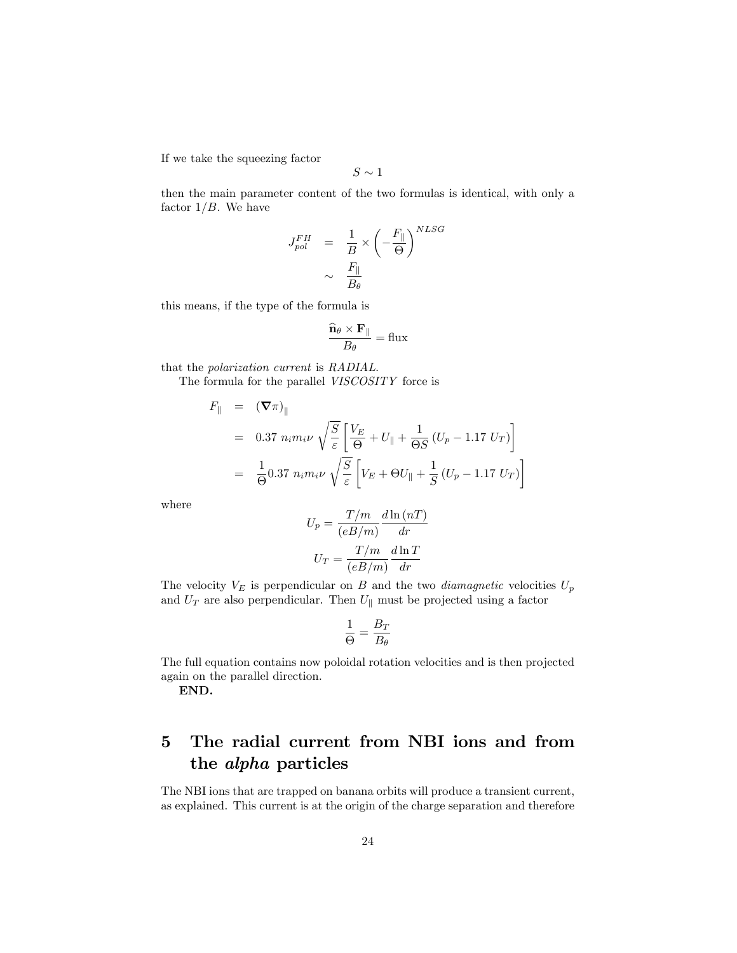If we take the squeezing factor

$$
S\sim 1
$$

then the main parameter content of the two formulas is identical, with only a factor  $1/B$ . We have

$$
\begin{array}{ccc} J_{pol}^{FH} & = & \displaystyle \frac{1}{B} \times \left( - \frac{F_{\parallel}}{\Theta} \right)^{NLSG} \\ & & \sim & \displaystyle \frac{F_{\parallel}}{B_{\theta}} \end{array}
$$

this means, if the type of the formula is

$$
\frac{\widehat{\mathbf{n}}_{\theta}\times\mathbf{F}_{\parallel}}{B_{\theta}}=\text{flux}
$$

that the polarization current is RADIAL.

The formula for the parallel VISCOSITY force is

$$
F_{\parallel} = (\nabla \pi)_{\parallel}
$$
  
= 0.37  $n_i m_i \nu \sqrt{\frac{S}{\varepsilon}} \left[ \frac{V_E}{\Theta} + U_{\parallel} + \frac{1}{\Theta S} (U_p - 1.17 U_T) \right]$   
=  $\frac{1}{\Theta} 0.37 n_i m_i \nu \sqrt{\frac{S}{\varepsilon}} \left[ V_E + \Theta U_{\parallel} + \frac{1}{S} (U_p - 1.17 U_T) \right]$ 

where

$$
U_p = \frac{T/m}{(eB/m)} \frac{d \ln (nT)}{dr}
$$

$$
U_T = \frac{T/m}{(eB/m)} \frac{d \ln T}{dr}
$$

The velocity  $V_E$  is perpendicular on B and the two *diamagnetic* velocities  $U_p$ and  $U_T$  are also perpendicular. Then  $U_{\parallel}$  must be projected using a factor

$$
\frac{1}{\Theta}=\frac{B_T}{B_\theta}
$$

The full equation contains now poloidal rotation velocities and is then projected again on the parallel direction.

END.

# 5 The radial current from NBI ions and from the alpha particles

The NBI ions that are trapped on banana orbits will produce a transient current, as explained. This current is at the origin of the charge separation and therefore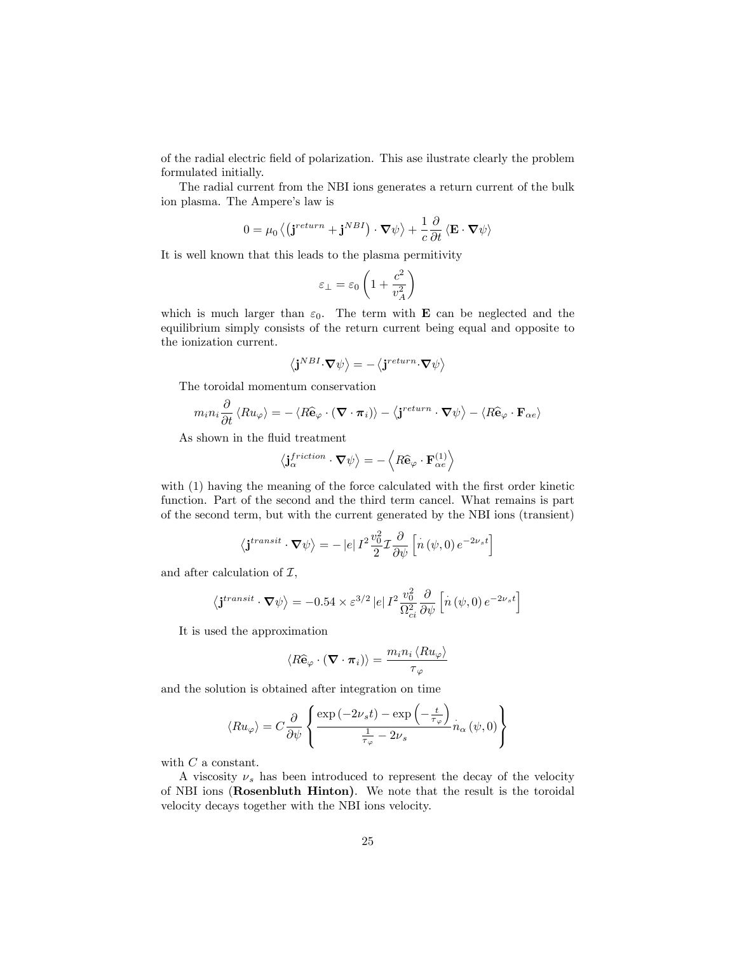of the radial electric field of polarization. This ase ilustrate clearly the problem formulated initially.

The radial current from the NBI ions generates a return current of the bulk ion plasma. The Ampere's law is

$$
0 = \mu_0 \left\langle \left( \mathbf{j}^{return} + \mathbf{j}^{NBI} \right) \cdot \mathbf{\nabla} \psi \right\rangle + \frac{1}{c} \frac{\partial}{\partial t} \left\langle \mathbf{E} \cdot \mathbf{\nabla} \psi \right\rangle
$$

It is well known that this leads to the plasma permitivity

$$
\varepsilon_{\perp}=\varepsilon_0\left(1+\frac{c^2}{v_A^2}\right)
$$

which is much larger than  $\varepsilon_0$ . The term with **E** can be neglected and the equilibrium simply consists of the return current being equal and opposite to the ionization current.

$$
\left\langle \mathbf{j}^{NBI}\!\cdot\!\boldsymbol{\nabla}\psi\right\rangle =-\left\langle \mathbf{j}^{return}\!\cdot\!\boldsymbol{\nabla}\psi\right\rangle
$$

The toroidal momentum conservation

$$
m_i n_i \frac{\partial}{\partial t} \langle R u_{\varphi} \rangle = - \langle R \hat{\mathbf{e}}_{\varphi} \cdot (\mathbf{\nabla} \cdot \boldsymbol{\pi}_i) \rangle - \langle \mathbf{j}^{return} \cdot \mathbf{\nabla} \psi \rangle - \langle R \hat{\mathbf{e}}_{\varphi} \cdot \mathbf{F}_{\alpha e} \rangle
$$

As shown in the fluid treatment

$$
\left\langle \mathbf{j}_{\alpha}^{friction} \cdot \mathbf{\nabla} \psi \right\rangle = -\left\langle R \hat{\mathbf{e}}_{\varphi} \cdot \mathbf{F}^{(1)}_{\alpha e} \right\rangle
$$

with (1) having the meaning of the force calculated with the first order kinetic function. Part of the second and the third term cancel. What remains is part of the second term, but with the current generated by the NBI ions (transient)

$$
\langle \mathbf{j}^{transit} \cdot \mathbf{\nabla} \psi \rangle = - |e| I^2 \frac{v_0^2}{2} \mathcal{I} \frac{\partial}{\partial \psi} \left[ \dot{n} \left( \psi, 0 \right) e^{-2 \nu_s t} \right]
$$

and after calculation of  $\mathcal{I},$ 

$$
\langle \mathbf{j}^{transit} \cdot \mathbf{\nabla} \psi \rangle = -0.54 \times \varepsilon^{3/2} |e| I^2 \frac{v_0^2}{\Omega_{ci}^2} \frac{\partial}{\partial \psi} \left[ \dot{n} \left( \psi, 0 \right) e^{-2\nu_s t} \right]
$$

It is used the approximation

$$
\langle R \widehat{\mathbf{e}}_{\varphi} \cdot \left( \boldsymbol{\nabla} \cdot \boldsymbol{\pi}_{i} \right) \rangle = \frac{m_{i} n_{i} \langle R u_{\varphi} \rangle}{\tau_{\varphi}}
$$

and the solution is obtained after integration on time

$$
\langle R u_{\varphi} \rangle = C \frac{\partial}{\partial \psi} \left\{ \frac{\exp(-2\nu_s t) - \exp\left(-\frac{t}{\tau_{\varphi}}\right)}{\frac{1}{\tau_{\varphi}} - 2\nu_s} n_{\alpha} \left(\psi, 0\right) \right\}
$$

with  $C$  a constant.

A viscosity  $\nu_s$  has been introduced to represent the decay of the velocity of NBI ions (Rosenbluth Hinton). We note that the result is the toroidal velocity decays together with the NBI ions velocity.